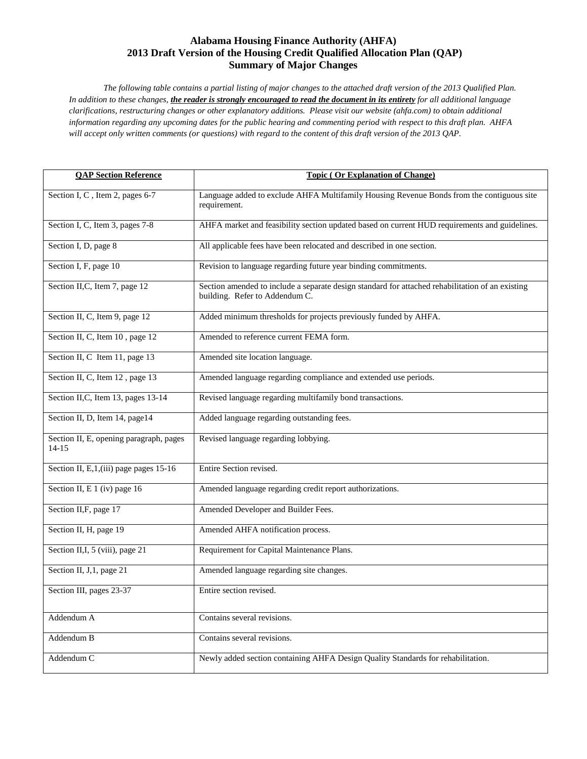# **Alabama Housing Finance Authority (AHFA) 2013 Draft Version of the Housing Credit Qualified Allocation Plan (QAP) Summary of Major Changes**

*The following table contains a partial listing of major changes to the attached draft version of the 2013 Qualified Plan. In addition to these changes, the reader is strongly encouraged to read the document in its entirety for all additional language clarifications, restructuring changes or other explanatory additions. Please visit our website (ahfa.com) to obtain additional information regarding any upcoming dates for the public hearing and commenting period with respect to this draft plan. AHFA will accept only written comments (or questions) with regard to the content of this draft version of the 2013 QAP.* 

| <b>QAP Section Reference</b>                       | <b>Topic (Or Explanation of Change)</b>                                                                                            |
|----------------------------------------------------|------------------------------------------------------------------------------------------------------------------------------------|
| Section I, C, Item 2, pages 6-7                    | Language added to exclude AHFA Multifamily Housing Revenue Bonds from the contiguous site<br>requirement.                          |
| Section I, C, Item 3, pages 7-8                    | AHFA market and feasibility section updated based on current HUD requirements and guidelines.                                      |
| Section I, D, page 8                               | All applicable fees have been relocated and described in one section.                                                              |
| Section I, F, page 10                              | Revision to language regarding future year binding commitments.                                                                    |
| Section II, C, Item 7, page 12                     | Section amended to include a separate design standard for attached rehabilitation of an existing<br>building. Refer to Addendum C. |
| Section II, C, Item 9, page 12                     | Added minimum thresholds for projects previously funded by AHFA.                                                                   |
| Section II, C, Item 10, page 12                    | Amended to reference current FEMA form.                                                                                            |
| Section II, C Item 11, page 13                     | Amended site location language.                                                                                                    |
| Section II, C, Item 12, page 13                    | Amended language regarding compliance and extended use periods.                                                                    |
| Section II, C, Item 13, pages 13-14                | Revised language regarding multifamily bond transactions.                                                                          |
| Section II, D, Item 14, page14                     | Added language regarding outstanding fees.                                                                                         |
| Section II, E, opening paragraph, pages<br>$14-15$ | Revised language regarding lobbying.                                                                                               |
| Section II, E, 1, (iii) page pages 15-16           | Entire Section revised.                                                                                                            |
| Section II, E 1 (iv) page 16                       | Amended language regarding credit report authorizations.                                                                           |
| Section II, F, page 17                             | Amended Developer and Builder Fees.                                                                                                |
| Section II, H, page 19                             | Amended AHFA notification process.                                                                                                 |
| Section II, I, 5 (viii), page 21                   | Requirement for Capital Maintenance Plans.                                                                                         |
| Section II, J, 1, page 21                          | Amended language regarding site changes.                                                                                           |
| Section III, pages 23-37                           | Entire section revised.                                                                                                            |
| Addendum A                                         | Contains several revisions.                                                                                                        |
| Addendum B                                         | Contains several revisions.                                                                                                        |
| Addendum C                                         | Newly added section containing AHFA Design Quality Standards for rehabilitation.                                                   |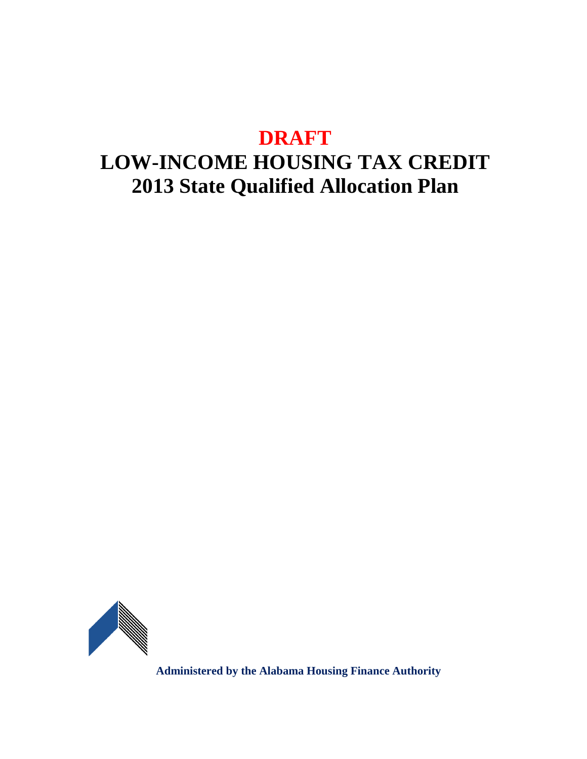# **DRAFT**

# **LOW-INCOME HOUSING TAX CREDIT 2013 State Qualified Allocation Plan**

<span id="page-1-0"></span>

**Administered by the Alabama Housing Finance Authority**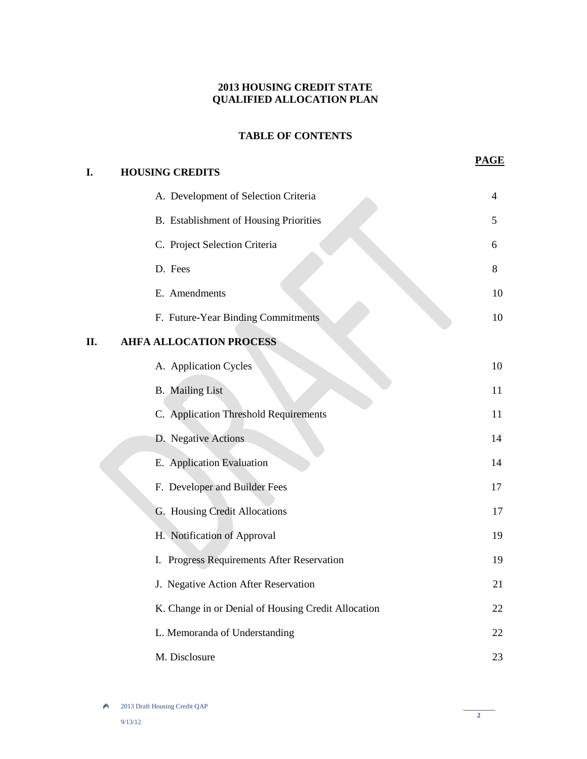# **2013 HOUSING CREDIT STATE QUALIFIED ALLOCATION PLAN**

# **TABLE OF CONTENTS**

**PAGE**

| I.  | <b>HOUSING CREDITS</b>                              |    |
|-----|-----------------------------------------------------|----|
|     | A. Development of Selection Criteria                | 4  |
|     | B. Establishment of Housing Priorities              | 5  |
|     | C. Project Selection Criteria                       | 6  |
|     | D. Fees                                             | 8  |
|     | E. Amendments                                       | 10 |
|     | F. Future-Year Binding Commitments                  | 10 |
| II. | <b>AHFA ALLOCATION PROCESS</b>                      |    |
|     | A. Application Cycles                               | 10 |
|     | <b>B.</b> Mailing List                              | 11 |
|     | C. Application Threshold Requirements               | 11 |
|     | D. Negative Actions                                 | 14 |
|     | E. Application Evaluation                           | 14 |
|     | F. Developer and Builder Fees                       | 17 |
|     | G. Housing Credit Allocations                       | 17 |
|     | H. Notification of Approval                         | 19 |
|     | I. Progress Requirements After Reservation          | 19 |
|     | J. Negative Action After Reservation                | 21 |
|     | K. Change in or Denial of Housing Credit Allocation | 22 |
|     | L. Memoranda of Understanding                       | 22 |
|     | M. Disclosure                                       | 23 |

2013 Draft Housing Credit QAP

**2**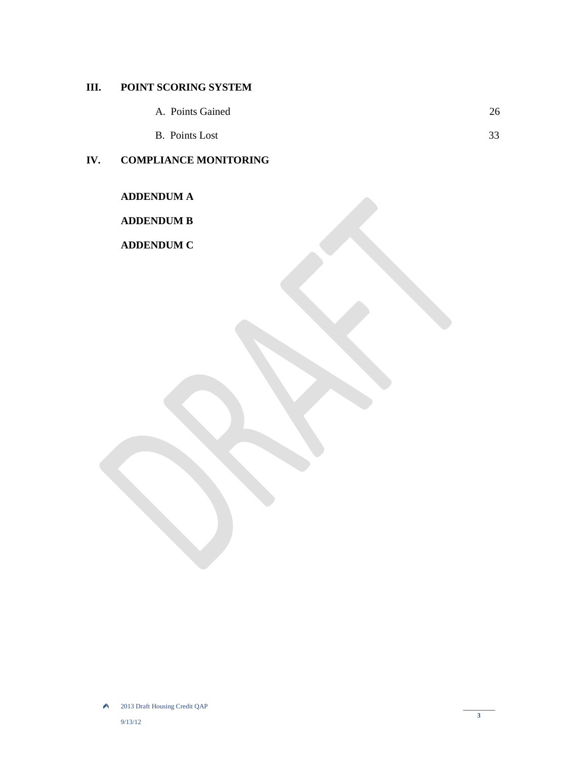# **III. POINT SCORING SYSTEM**

- A. Points Gained 26
- B. Points Lost 33

# **IV. COMPLIANCE MONITORING**

**ADDENDUM A**

# **ADDENDUM B**

**ADDENDUM C**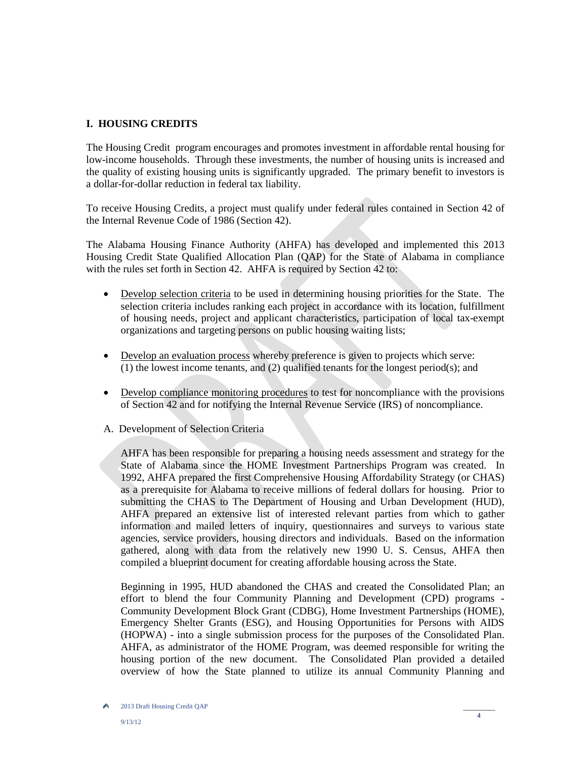# **I. HOUSING CREDITS**

The Housing Credit program encourages and promotes investment in affordable rental housing for low-income households. Through these investments, the number of housing units is increased and the quality of existing housing units is significantly upgraded. The primary benefit to investors is a dollar-for-dollar reduction in federal tax liability.

To receive Housing Credits, a project must qualify under federal rules contained in Section 42 of the Internal Revenue Code of 1986 (Section 42).

The Alabama Housing Finance Authority (AHFA) has developed and implemented this 2013 Housing Credit State Qualified Allocation Plan (QAP) for the State of Alabama in compliance with the rules set forth in Section 42. AHFA is required by Section 42 to:

- Develop selection criteria to be used in determining housing priorities for the State. The selection criteria includes ranking each project in accordance with its location, fulfillment of housing needs, project and applicant characteristics, participation of local tax-exempt organizations and targeting persons on public housing waiting lists;
- Develop an evaluation process whereby preference is given to projects which serve: (1) the lowest income tenants, and (2) qualified tenants for the longest period(s); and
- Develop compliance monitoring procedures to test for noncompliance with the provisions of Section 42 and for notifying the Internal Revenue Service (IRS) of noncompliance.
- A. Development of Selection Criteria

AHFA has been responsible for preparing a housing needs assessment and strategy for the State of Alabama since the HOME Investment Partnerships Program was created. In 1992, AHFA prepared the first Comprehensive Housing Affordability Strategy (or CHAS) as a prerequisite for Alabama to receive millions of federal dollars for housing. Prior to submitting the CHAS to The Department of Housing and Urban Development (HUD), AHFA prepared an extensive list of interested relevant parties from which to gather information and mailed letters of inquiry, questionnaires and surveys to various state agencies, service providers, housing directors and individuals. Based on the information gathered, along with data from the relatively new 1990 U. S. Census, AHFA then compiled a blueprint document for creating affordable housing across the State.

Beginning in 1995, HUD abandoned the CHAS and created the Consolidated Plan; an effort to blend the four Community Planning and Development (CPD) programs - Community Development Block Grant (CDBG), Home Investment Partnerships (HOME), Emergency Shelter Grants (ESG), and Housing Opportunities for Persons with AIDS (HOPWA) - into a single submission process for the purposes of the Consolidated Plan. AHFA, as administrator of the HOME Program, was deemed responsible for writing the housing portion of the new document. The Consolidated Plan provided a detailed overview of how the State planned to utilize its annual Community Planning and

۸ 2013 Draft Housing Credit QAP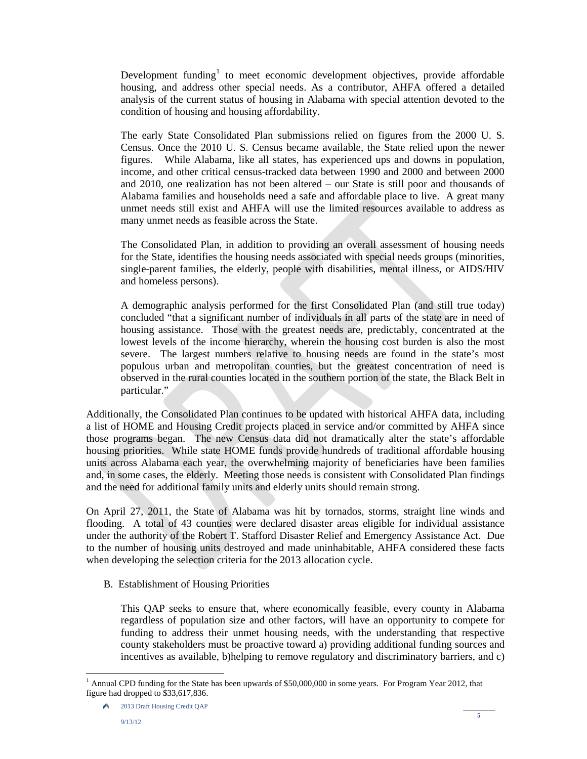Development funding<sup>[1](#page-1-0)</sup> to meet economic development objectives, provide affordable housing, and address other special needs. As a contributor, AHFA offered a detailed analysis of the current status of housing in Alabama with special attention devoted to the condition of housing and housing affordability.

The early State Consolidated Plan submissions relied on figures from the 2000 U. S. Census. Once the 2010 U. S. Census became available, the State relied upon the newer figures. While Alabama, like all states, has experienced ups and downs in population, income, and other critical census-tracked data between 1990 and 2000 and between 2000 and 2010, one realization has not been altered – our State is still poor and thousands of Alabama families and households need a safe and affordable place to live. A great many unmet needs still exist and AHFA will use the limited resources available to address as many unmet needs as feasible across the State.

The Consolidated Plan, in addition to providing an overall assessment of housing needs for the State, identifies the housing needs associated with special needs groups (minorities, single-parent families, the elderly, people with disabilities, mental illness, or AIDS/HIV and homeless persons).

A demographic analysis performed for the first Consolidated Plan (and still true today) concluded "that a significant number of individuals in all parts of the state are in need of housing assistance. Those with the greatest needs are, predictably, concentrated at the lowest levels of the income hierarchy, wherein the housing cost burden is also the most severe. The largest numbers relative to housing needs are found in the state's most populous urban and metropolitan counties, but the greatest concentration of need is observed in the rural counties located in the southern portion of the state, the Black Belt in particular."

Additionally, the Consolidated Plan continues to be updated with historical AHFA data, including a list of HOME and Housing Credit projects placed in service and/or committed by AHFA since those programs began. The new Census data did not dramatically alter the state's affordable housing priorities. While state HOME funds provide hundreds of traditional affordable housing units across Alabama each year, the overwhelming majority of beneficiaries have been families and, in some cases, the elderly. Meeting those needs is consistent with Consolidated Plan findings and the need for additional family units and elderly units should remain strong.

On April 27, 2011, the State of Alabama was hit by tornados, storms, straight line winds and flooding. A total of 43 counties were declared disaster areas eligible for individual assistance under the authority of the Robert T. Stafford Disaster Relief and Emergency Assistance Act. Due to the number of housing units destroyed and made uninhabitable, AHFA considered these facts when developing the selection criteria for the 2013 allocation cycle.

B. Establishment of Housing Priorities

This QAP seeks to ensure that, where economically feasible, every county in Alabama regardless of population size and other factors, will have an opportunity to compete for funding to address their unmet housing needs, with the understanding that respective county stakeholders must be proactive toward a) providing additional funding sources and incentives as available, b)helping to remove regulatory and discriminatory barriers, and c)

-

<sup>&</sup>lt;sup>1</sup> Annual CPD funding for the State has been upwards of \$50,000,000 in some years. For Program Year 2012, that figure had dropped to \$33,617,836.

<sup>2013</sup> Draft Housing Credit QAP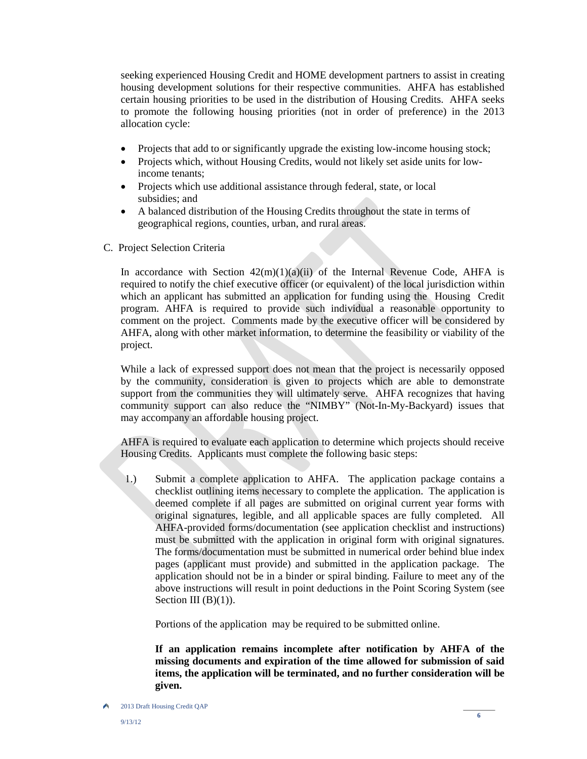seeking experienced Housing Credit and HOME development partners to assist in creating housing development solutions for their respective communities. AHFA has established certain housing priorities to be used in the distribution of Housing Credits. AHFA seeks to promote the following housing priorities (not in order of preference) in the 2013 allocation cycle:

- Projects that add to or significantly upgrade the existing low-income housing stock;
- Projects which, without Housing Credits, would not likely set aside units for lowincome tenants;
- Projects which use additional assistance through federal, state, or local subsidies; and
- A balanced distribution of the Housing Credits throughout the state in terms of geographical regions, counties, urban, and rural areas.
- C. Project Selection Criteria

In accordance with Section  $42(m)(1)(a)(ii)$  of the Internal Revenue Code, AHFA is required to notify the chief executive officer (or equivalent) of the local jurisdiction within which an applicant has submitted an application for funding using the Housing Credit program. AHFA is required to provide such individual a reasonable opportunity to comment on the project. Comments made by the executive officer will be considered by AHFA, along with other market information, to determine the feasibility or viability of the project.

While a lack of expressed support does not mean that the project is necessarily opposed by the community, consideration is given to projects which are able to demonstrate support from the communities they will ultimately serve. AHFA recognizes that having community support can also reduce the "NIMBY" (Not-In-My-Backyard) issues that may accompany an affordable housing project.

AHFA is required to evaluate each application to determine which projects should receive Housing Credits. Applicants must complete the following basic steps:

1.) Submit a complete application to AHFA. The application package contains a checklist outlining items necessary to complete the application. The application is deemed complete if all pages are submitted on original current year forms with original signatures, legible, and all applicable spaces are fully completed. All AHFA-provided forms/documentation (see application checklist and instructions) must be submitted with the application in original form with original signatures. The forms/documentation must be submitted in numerical order behind blue index pages (applicant must provide) and submitted in the application package. The application should not be in a binder or spiral binding. Failure to meet any of the above instructions will result in point deductions in the Point Scoring System (see Section III  $(B)(1)$ ).

Portions of the application may be required to be submitted online.

 **If an application remains incomplete after notification by AHFA of the missing documents and expiration of the time allowed for submission of said items, the application will be terminated, and no further consideration will be given.** 

۸ 2013 Draft Housing Credit QAP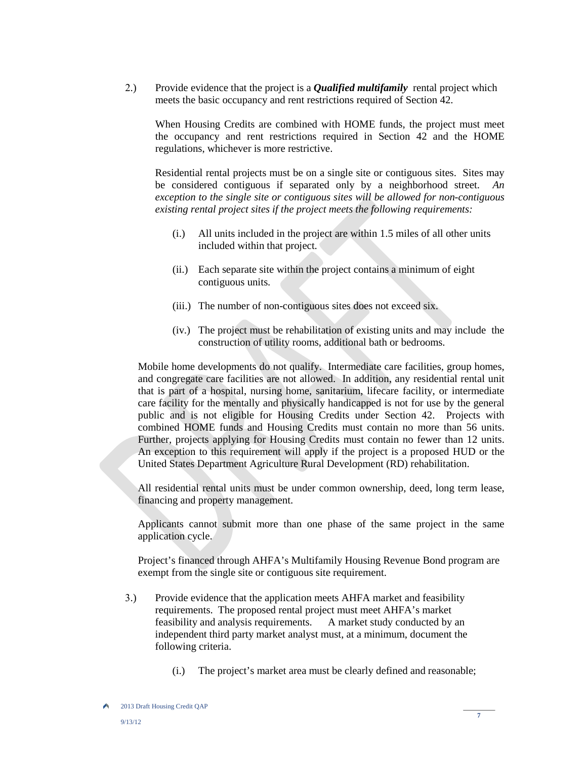2.) Provide evidence that the project is a *Qualified multifamily* rental project which meets the basic occupancy and rent restrictions required of Section 42.

When Housing Credits are combined with HOME funds, the project must meet the occupancy and rent restrictions required in Section 42 and the HOME regulations, whichever is more restrictive.

Residential rental projects must be on a single site or contiguous sites. Sites may be considered contiguous if separated only by a neighborhood street. *An exception to the single site or contiguous sites will be allowed for non-contiguous existing rental project sites if the project meets the following requirements:*

- (i.) All units included in the project are within 1.5 miles of all other units included within that project.
- (ii.) Each separate site within the project contains a minimum of eight contiguous units.
- (iii.) The number of non-contiguous sites does not exceed six.
- (iv.) The project must be rehabilitation of existing units and may include the construction of utility rooms, additional bath or bedrooms.

Mobile home developments do not qualify. Intermediate care facilities, group homes, and congregate care facilities are not allowed. In addition, any residential rental unit that is part of a hospital, nursing home, sanitarium, lifecare facility, or intermediate care facility for the mentally and physically handicapped is not for use by the general public and is not eligible for Housing Credits under Section 42. Projects with combined HOME funds and Housing Credits must contain no more than 56 units. Further, projects applying for Housing Credits must contain no fewer than 12 units. An exception to this requirement will apply if the project is a proposed HUD or the United States Department Agriculture Rural Development (RD) rehabilitation.

All residential rental units must be under common ownership, deed, long term lease, financing and property management.

Applicants cannot submit more than one phase of the same project in the same application cycle.

Project's financed through AHFA's Multifamily Housing Revenue Bond program are exempt from the single site or contiguous site requirement.

- 3.) Provide evidence that the application meets AHFA market and feasibility requirements. The proposed rental project must meet AHFA's market feasibility and analysis requirements. A market study conducted by an independent third party market analyst must, at a minimum, document the following criteria.
	- (i.) The project's market area must be clearly defined and reasonable;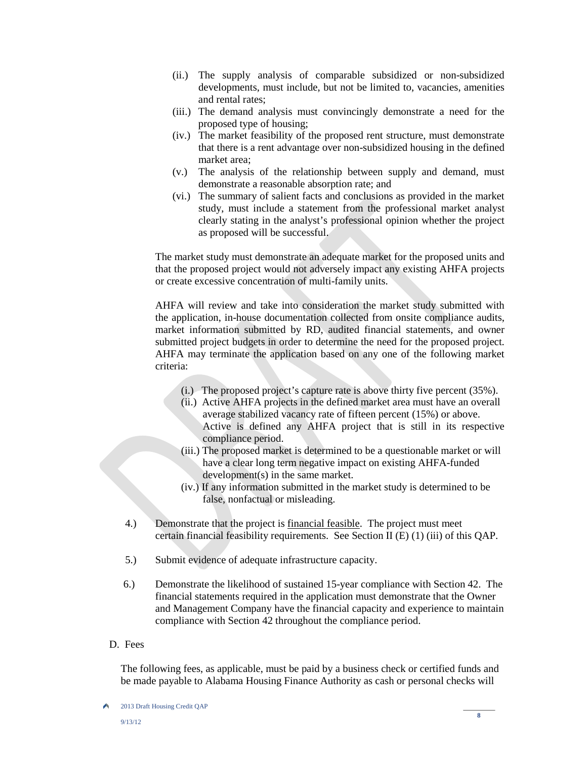- (ii.) The supply analysis of comparable subsidized or non-subsidized developments, must include, but not be limited to, vacancies, amenities and rental rates;
- (iii.) The demand analysis must convincingly demonstrate a need for the proposed type of housing;
- (iv.) The market feasibility of the proposed rent structure, must demonstrate that there is a rent advantage over non-subsidized housing in the defined market area;
- (v.) The analysis of the relationship between supply and demand, must demonstrate a reasonable absorption rate; and
- (vi.) The summary of salient facts and conclusions as provided in the market study, must include a statement from the professional market analyst clearly stating in the analyst's professional opinion whether the project as proposed will be successful.

The market study must demonstrate an adequate market for the proposed units and that the proposed project would not adversely impact any existing AHFA projects or create excessive concentration of multi-family units.

AHFA will review and take into consideration the market study submitted with the application, in-house documentation collected from onsite compliance audits, market information submitted by RD, audited financial statements, and owner submitted project budgets in order to determine the need for the proposed project. AHFA may terminate the application based on any one of the following market criteria:

- (i.) The proposed project's capture rate is above thirty five percent (35%).
- (ii.) Active AHFA projects in the defined market area must have an overall average stabilized vacancy rate of fifteen percent (15%) or above. Active is defined any AHFA project that is still in its respective compliance period.
- (iii.) The proposed market is determined to be a questionable market or will have a clear long term negative impact on existing AHFA-funded development(s) in the same market.
- (iv.) If any information submitted in the market study is determined to be false, nonfactual or misleading.
- 4.) Demonstrate that the project is financial feasible. The project must meet certain financial feasibility requirements. See Section II (E) (1) (iii) of this QAP.
- 5.) Submit evidence of adequate infrastructure capacity.
- 6.) Demonstrate the likelihood of sustained 15-year compliance with Section 42. The financial statements required in the application must demonstrate that the Owner and Management Company have the financial capacity and experience to maintain compliance with Section 42 throughout the compliance period.
- D. Fees

The following fees, as applicable, must be paid by a business check or certified funds and be made payable to Alabama Housing Finance Authority as cash or personal checks will

Ä 2013 Draft Housing Credit QAP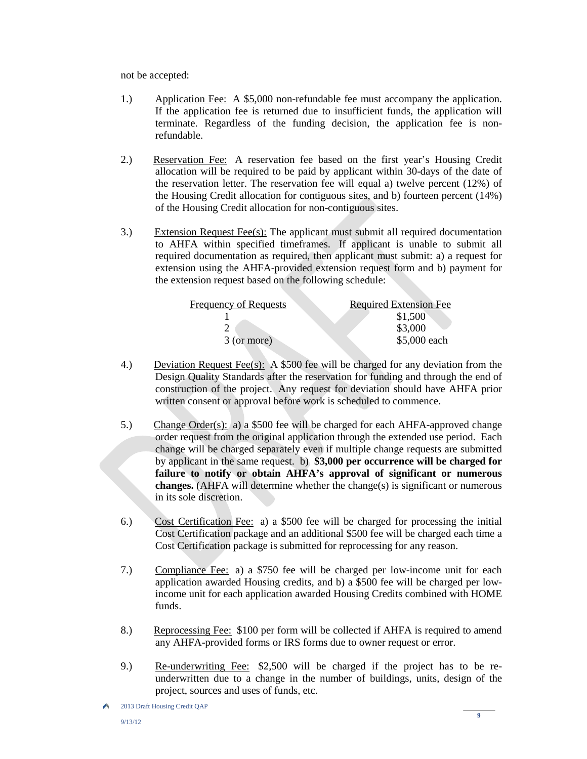not be accepted:

- 1.)Application Fee: A \$5,000 non-refundable fee must accompany the application. If the application fee is returned due to insufficient funds, the application will terminate. Regardless of the funding decision, the application fee is nonrefundable.
- 2.) Reservation Fee: A reservation fee based on the first year's Housing Credit allocation will be required to be paid by applicant within 30-days of the date of the reservation letter. The reservation fee will equal a) twelve percent (12%) of the Housing Credit allocation for contiguous sites, and b) fourteen percent (14%) of the Housing Credit allocation for non-contiguous sites.
- 3.) Extension Request Fee(s): The applicant must submit all required documentation to AHFA within specified timeframes. If applicant is unable to submit all required documentation as required, then applicant must submit: a) a request for extension using the AHFA-provided extension request form and b) payment for the extension request based on the following schedule:

| Frequency of Requests | <b>Required Extension Fee</b> |
|-----------------------|-------------------------------|
|                       | \$1,500                       |
|                       | \$3,000                       |
| 3 (or more)           | \$5,000 each                  |

- 4.) Deviation Request Fee(s): A \$500 fee will be charged for any deviation from the Design Quality Standards after the reservation for funding and through the end of construction of the project. Any request for deviation should have AHFA prior written consent or approval before work is scheduled to commence.
- 5.) Change Order(s): a) a \$500 fee will be charged for each AHFA-approved change order request from the original application through the extended use period. Each change will be charged separately even if multiple change requests are submitted by applicant in the same request. b) **\$3,000 per occurrence will be charged for failure to notify or obtain AHFA's approval of significant or numerous changes.** (AHFA will determine whether the change(s) is significant or numerous in its sole discretion.
- 6.) Cost Certification Fee: a) a \$500 fee will be charged for processing the initial Cost Certification package and an additional \$500 fee will be charged each time a Cost Certification package is submitted for reprocessing for any reason.
- 7.) Compliance Fee: a) a \$750 fee will be charged per low-income unit for each application awarded Housing credits, and b) a \$500 fee will be charged per lowincome unit for each application awarded Housing Credits combined with HOME funds.
- 8.) Reprocessing Fee: \$100 per form will be collected if AHFA is required to amend any AHFA-provided forms or IRS forms due to owner request or error.
- 9.) Re-underwriting Fee: \$2,500 will be charged if the project has to be reunderwritten due to a change in the number of buildings, units, design of the project, sources and uses of funds, etc.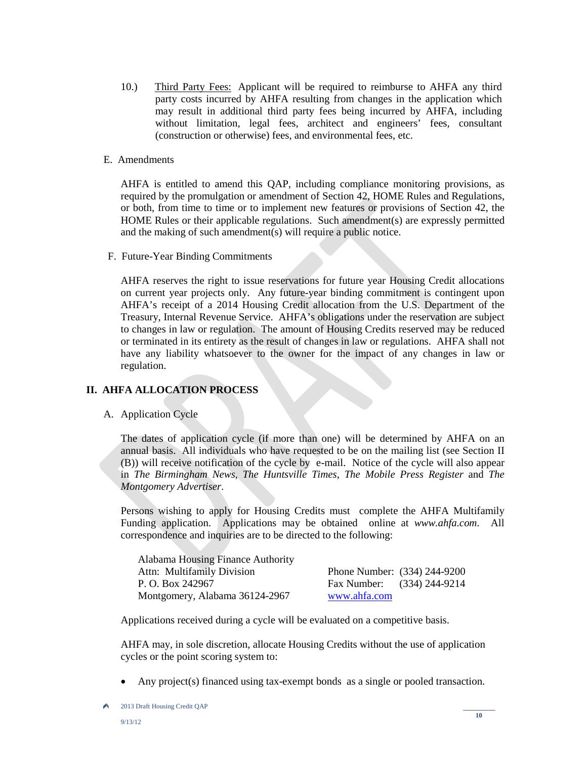- 10.) Third Party Fees: Applicant will be required to reimburse to AHFA any third party costs incurred by AHFA resulting from changes in the application which may result in additional third party fees being incurred by AHFA, including without limitation, legal fees, architect and engineers' fees, consultant (construction or otherwise) fees, and environmental fees, etc.
- E. Amendments

AHFA is entitled to amend this QAP, including compliance monitoring provisions, as required by the promulgation or amendment of Section 42, HOME Rules and Regulations, or both, from time to time or to implement new features or provisions of Section 42, the HOME Rules or their applicable regulations. Such amendment(s) are expressly permitted and the making of such amendment(s) will require a public notice.

F. Future-Year Binding Commitments

AHFA reserves the right to issue reservations for future year Housing Credit allocations on current year projects only. Any future-year binding commitment is contingent upon AHFA's receipt of a 2014 Housing Credit allocation from the U.S. Department of the Treasury, Internal Revenue Service. AHFA's obligations under the reservation are subject to changes in law or regulation. The amount of Housing Credits reserved may be reduced or terminated in its entirety as the result of changes in law or regulations. AHFA shall not have any liability whatsoever to the owner for the impact of any changes in law or regulation.

# **II. AHFA ALLOCATION PROCESS**

A. Application Cycle

The dates of application cycle (if more than one) will be determined by AHFA on an annual basis. All individuals who have requested to be on the mailing list (see Section II (B)) will receive notification of the cycle by e-mail. Notice of the cycle will also appear in *The Birmingham News*, *The Huntsville Times*, *The Mobile Press Register* and *The Montgomery Advertiser*.

Persons wishing to apply for Housing Credits must complete the AHFA Multifamily Funding application. Applications may be obtained online at *www.ahfa.com*. All correspondence and inquiries are to be directed to the following:

| Alabama Housing Finance Authority |                              |  |
|-----------------------------------|------------------------------|--|
| <b>Attn: Multifamily Division</b> | Phone Number: (334) 244-9200 |  |
| P. O. Box 242967                  | Fax Number: (334) 244-9214   |  |
| Montgomery, Alabama 36124-2967    | www.ahfa.com                 |  |

Applications received during a cycle will be evaluated on a competitive basis.

AHFA may, in sole discretion, allocate Housing Credits without the use of application cycles or the point scoring system to:

• Any project(s) financed using tax-exempt bonds as a single or pooled transaction.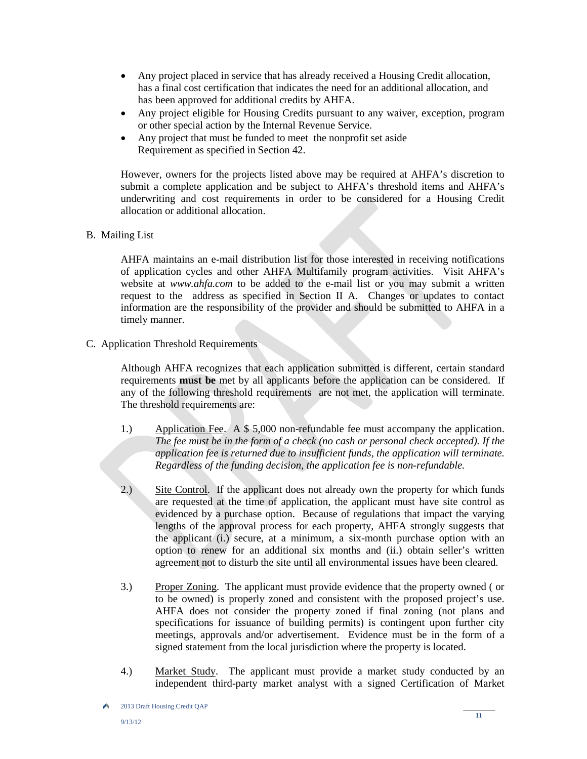- Any project placed in service that has already received a Housing Credit allocation, has a final cost certification that indicates the need for an additional allocation, and has been approved for additional credits by AHFA.
- Any project eligible for Housing Credits pursuant to any waiver, exception, program or other special action by the Internal Revenue Service.
- Any project that must be funded to meet the nonprofit set aside Requirement as specified in Section 42.

However, owners for the projects listed above may be required at AHFA's discretion to submit a complete application and be subject to AHFA's threshold items and AHFA's underwriting and cost requirements in order to be considered for a Housing Credit allocation or additional allocation.

B. Mailing List

AHFA maintains an e-mail distribution list for those interested in receiving notifications of application cycles and other AHFA Multifamily program activities. Visit AHFA's website at *www.ahfa.com* to be added to the e-mail list or you may submit a written request to the address as specified in Section II A. Changes or updates to contact information are the responsibility of the provider and should be submitted to AHFA in a timely manner.

C. Application Threshold Requirements

Although AHFA recognizes that each application submitted is different, certain standard requirements **must be** met by all applicants before the application can be considered. If any of the following threshold requirements are not met, the application will terminate. The threshold requirements are:

- 1.) Application Fee. A \$ 5,000 non-refundable fee must accompany the application. *The fee must be in the form of a check (no cash or personal check accepted). If the application fee is returned due to insufficient funds, the application will terminate. Regardless of the funding decision, the application fee is non-refundable.*
- 2.) Site Control. If the applicant does not already own the property for which funds are requested at the time of application, the applicant must have site control as evidenced by a purchase option. Because of regulations that impact the varying lengths of the approval process for each property, AHFA strongly suggests that the applicant (i.) secure, at a minimum, a six-month purchase option with an option to renew for an additional six months and (ii.) obtain seller's written agreement not to disturb the site until all environmental issues have been cleared.
- 3.) Proper Zoning. The applicant must provide evidence that the property owned ( or to be owned) is properly zoned and consistent with the proposed project's use. AHFA does not consider the property zoned if final zoning (not plans and specifications for issuance of building permits) is contingent upon further city meetings, approvals and/or advertisement. Evidence must be in the form of a signed statement from the local jurisdiction where the property is located.
- 4.) Market Study. The applicant must provide a market study conducted by an independent third-party market analyst with a signed Certification of Market

۸ 2013 Draft Housing Credit QAP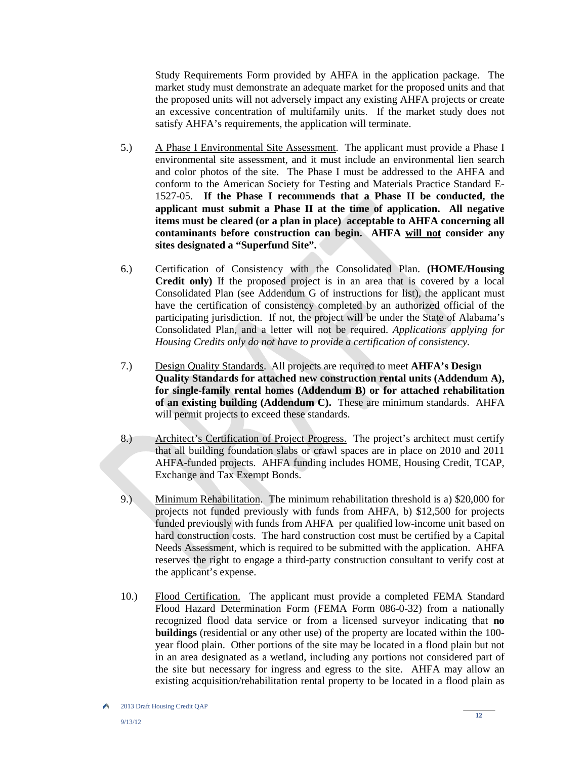Study Requirements Form provided by AHFA in the application package. The market study must demonstrate an adequate market for the proposed units and that the proposed units will not adversely impact any existing AHFA projects or create an excessive concentration of multifamily units. If the market study does not satisfy AHFA's requirements, the application will terminate.

- 5.) A Phase I Environmental Site Assessment. The applicant must provide a Phase I environmental site assessment, and it must include an environmental lien search and color photos of the site. The Phase I must be addressed to the AHFA and conform to the American Society for Testing and Materials Practice Standard E-1527-05. **If the Phase I recommends that a Phase II be conducted, the applicant must submit a Phase II at the time of application. All negative items must be cleared (or a plan in place) acceptable to AHFA concerning all contaminants before construction can begin. AHFA will not consider any sites designated a "Superfund Site".**
- 6.) Certification of Consistency with the Consolidated Plan. **(HOME/Housing Credit only)** If the proposed project is in an area that is covered by a local Consolidated Plan (see Addendum G of instructions for list), the applicant must have the certification of consistency completed by an authorized official of the participating jurisdiction. If not, the project will be under the State of Alabama's Consolidated Plan, and a letter will not be required. *Applications applying for Housing Credits only do not have to provide a certification of consistency.*
- 7.) Design Quality Standards. All projects are required to meet **AHFA's Design Quality Standards for attached new construction rental units (Addendum A), for single-family rental homes (Addendum B) or for attached rehabilitation of an existing building (Addendum C).** These are minimum standards. AHFA will permit projects to exceed these standards.
- 8.) Architect's Certification of Project Progress. The project's architect must certify that all building foundation slabs or crawl spaces are in place on 2010 and 2011 AHFA-funded projects. AHFA funding includes HOME, Housing Credit, TCAP, Exchange and Tax Exempt Bonds.
- 9.) Minimum Rehabilitation. The minimum rehabilitation threshold is a) \$20,000 for projects not funded previously with funds from AHFA, b) \$12,500 for projects funded previously with funds from AHFA per qualified low-income unit based on hard construction costs. The hard construction cost must be certified by a Capital Needs Assessment, which is required to be submitted with the application. AHFA reserves the right to engage a third-party construction consultant to verify cost at the applicant's expense.
- 10.) Flood Certification. The applicant must provide a completed FEMA Standard Flood Hazard Determination Form (FEMA Form 086-0-32) from a nationally recognized flood data service or from a licensed surveyor indicating that **no buildings** (residential or any other use) of the property are located within the 100 year flood plain. Other portions of the site may be located in a flood plain but not in an area designated as a wetland, including any portions not considered part of the site but necessary for ingress and egress to the site. AHFA may allow an existing acquisition/rehabilitation rental property to be located in a flood plain as

۸ 2013 Draft Housing Credit QAP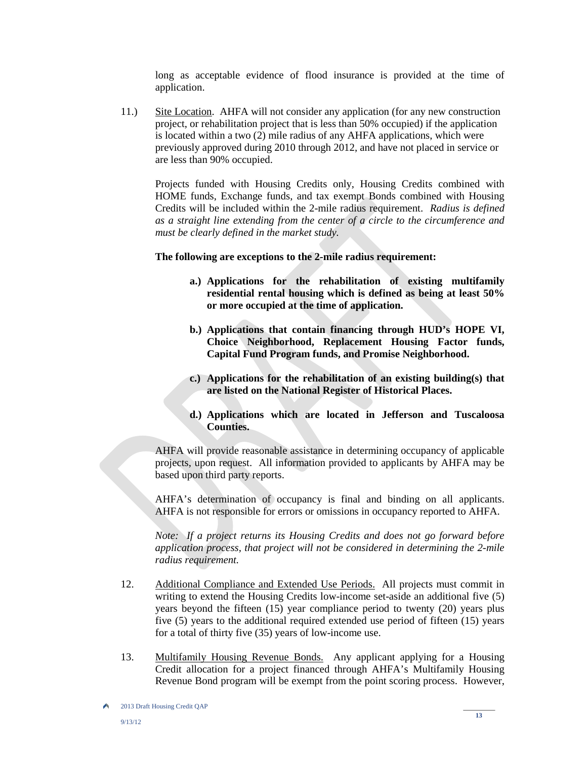long as acceptable evidence of flood insurance is provided at the time of application.

11.) Site Location. AHFA will not consider any application (for any new construction project, or rehabilitation project that is less than 50% occupied) if the application is located within a two (2) mile radius of any AHFA applications, which were previously approved during 2010 through 2012, and have not placed in service or are less than 90% occupied.

Projects funded with Housing Credits only, Housing Credits combined with HOME funds, Exchange funds, and tax exempt Bonds combined with Housing Credits will be included within the 2-mile radius requirement. *Radius is defined as a straight line extending from the center of a circle to the circumference and must be clearly defined in the market study.* 

#### **The following are exceptions to the 2-mile radius requirement:**

- **a.) Applications for the rehabilitation of existing multifamily residential rental housing which is defined as being at least 50% or more occupied at the time of application.**
- **b.) Applications that contain financing through HUD's HOPE VI, Choice Neighborhood, Replacement Housing Factor funds, Capital Fund Program funds, and Promise Neighborhood.**
- **c.) Applications for the rehabilitation of an existing building(s) that are listed on the National Register of Historical Places.**
- **d.) Applications which are located in Jefferson and Tuscaloosa Counties.**

AHFA will provide reasonable assistance in determining occupancy of applicable projects, upon request. All information provided to applicants by AHFA may be based upon third party reports.

AHFA's determination of occupancy is final and binding on all applicants. AHFA is not responsible for errors or omissions in occupancy reported to AHFA.

*Note: If a project returns its Housing Credits and does not go forward before application process, that project will not be considered in determining the 2-mile radius requirement.*

- 12. Additional Compliance and Extended Use Periods. All projects must commit in writing to extend the Housing Credits low-income set-aside an additional five (5) years beyond the fifteen (15) year compliance period to twenty (20) years plus five (5) years to the additional required extended use period of fifteen (15) years for a total of thirty five (35) years of low-income use.
- 13. Multifamily Housing Revenue Bonds. Any applicant applying for a Housing Credit allocation for a project financed through AHFA's Multifamily Housing Revenue Bond program will be exempt from the point scoring process. However,

۸ 2013 Draft Housing Credit QAP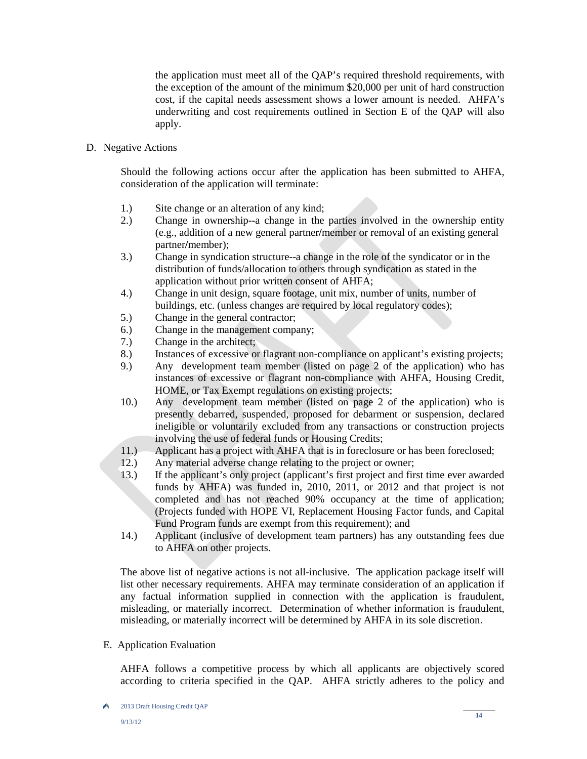the application must meet all of the QAP's required threshold requirements, with the exception of the amount of the minimum \$20,000 per unit of hard construction cost, if the capital needs assessment shows a lower amount is needed. AHFA's underwriting and cost requirements outlined in Section E of the QAP will also apply.

D. Negative Actions

Should the following actions occur after the application has been submitted to AHFA, consideration of the application will terminate:

- 1.) Site change or an alteration of any kind;
- 2.) Change in ownership--a change in the parties involved in the ownership entity (e.g., addition of a new general partner**/**member or removal of an existing general partner**/**member);
- 3.) Change in syndication structure--a change in the role of the syndicator or in the distribution of funds/allocation to others through syndication as stated in the application without prior written consent of AHFA;
- 4.) Change in unit design, square footage, unit mix, number of units, number of buildings, etc. (unless changes are required by local regulatory codes);<br>
S.) Change in the general contractor;
- Change in the general contractor;
- 6.) Change in the management company;
- 7.) Change in the architect;
- 8.) Instances of excessive or flagrant non-compliance on applicant's existing projects;
- 9.) Any development team member (listed on page 2 of the application) who has instances of excessive or flagrant non-compliance with AHFA, Housing Credit, HOME, or Tax Exempt regulations on existing projects;
- 10.) Any development team member (listed on page 2 of the application) who is presently debarred, suspended, proposed for debarment or suspension, declared ineligible or voluntarily excluded from any transactions or construction projects involving the use of federal funds or Housing Credits;
- 11.) Applicant has a project with AHFA that is in foreclosure or has been foreclosed;
- 12.) Any material adverse change relating to the project or owner;
- 13.) If the applicant's only project (applicant's first project and first time ever awarded funds by AHFA) was funded in, 2010, 2011, or 2012 and that project is not completed and has not reached 90% occupancy at the time of application; (Projects funded with HOPE VI, Replacement Housing Factor funds, and Capital Fund Program funds are exempt from this requirement); and
- 14.) Applicant (inclusive of development team partners) has any outstanding fees due to AHFA on other projects.

The above list of negative actions is not all-inclusive. The application package itself will list other necessary requirements. AHFA may terminate consideration of an application if any factual information supplied in connection with the application is fraudulent, misleading, or materially incorrect. Determination of whether information is fraudulent, misleading, or materially incorrect will be determined by AHFA in its sole discretion.

E. Application Evaluation

AHFA follows a competitive process by which all applicants are objectively scored according to criteria specified in the QAP. AHFA strictly adheres to the policy and

<sup>×</sup> 2013 Draft Housing Credit QAP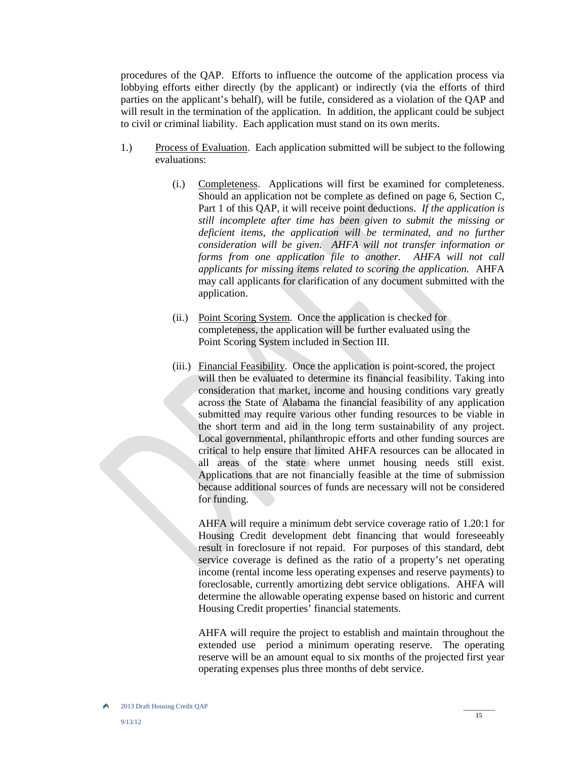procedures of the QAP. Efforts to influence the outcome of the application process via lobbying efforts either directly (by the applicant) or indirectly (via the efforts of third parties on the applicant's behalf), will be futile, considered as a violation of the QAP and will result in the termination of the application. In addition, the applicant could be subject to civil or criminal liability. Each application must stand on its own merits.

- 1.) Process of Evaluation. Each application submitted will be subject to the following evaluations:
	- (i.) Completeness. Applications will first be examined for completeness. Should an application not be complete as defined on page 6, Section C, Part 1 of this QAP, it will receive point deductions. *If the application is still incomplete after time has been given to submit the missing or deficient items, the application will be terminated, and no further consideration will be given. AHFA will not transfer information or*  forms from one application file to another. AHFA will not call *applicants for missing items related to scoring the application.* AHFA may call applicants for clarification of any document submitted with the application.
	- (ii.) Point Scoring System. Once the application is checked for completeness, the application will be further evaluated using the Point Scoring System included in Section III.
	- (iii.) Financial Feasibility. Once the application is point-scored, the project will then be evaluated to determine its financial feasibility. Taking into consideration that market, income and housing conditions vary greatly across the State of Alabama the financial feasibility of any application submitted may require various other funding resources to be viable in the short term and aid in the long term sustainability of any project. Local governmental, philanthropic efforts and other funding sources are critical to help ensure that limited AHFA resources can be allocated in all areas of the state where unmet housing needs still exist. Applications that are not financially feasible at the time of submission because additional sources of funds are necessary will not be considered for funding.

AHFA will require a minimum debt service coverage ratio of 1.20:1 for Housing Credit development debt financing that would foreseeably result in foreclosure if not repaid. For purposes of this standard, debt service coverage is defined as the ratio of a property's net operating income (rental income less operating expenses and reserve payments) to foreclosable, currently amortizing debt service obligations. AHFA will determine the allowable operating expense based on historic and current Housing Credit properties' financial statements.

AHFA will require the project to establish and maintain throughout the extended use period a minimum operating reserve. The operating reserve will be an amount equal to six months of the projected first year operating expenses plus three months of debt service.

۸ 2013 Draft Housing Credit QAP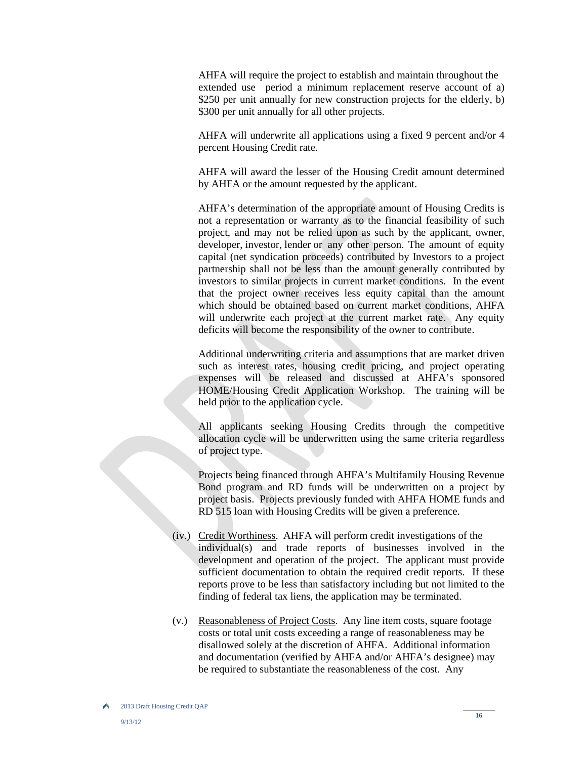AHFA will require the project to establish and maintain throughout the extended use period a minimum replacement reserve account of a) \$250 per unit annually for new construction projects for the elderly, b) \$300 per unit annually for all other projects.

AHFA will underwrite all applications using a fixed 9 percent and/or 4 percent Housing Credit rate.

AHFA will award the lesser of the Housing Credit amount determined by AHFA or the amount requested by the applicant.

AHFA's determination of the appropriate amount of Housing Credits is not a representation or warranty as to the financial feasibility of such project, and may not be relied upon as such by the applicant, owner, developer, investor, lender or any other person. The amount of equity capital (net syndication proceeds) contributed by Investors to a project partnership shall not be less than the amount generally contributed by investors to similar projects in current market conditions. In the event that the project owner receives less equity capital than the amount which should be obtained based on current market conditions, AHFA will underwrite each project at the current market rate. Any equity deficits will become the responsibility of the owner to contribute.

Additional underwriting criteria and assumptions that are market driven such as interest rates, housing credit pricing, and project operating expenses will be released and discussed at AHFA's sponsored HOME/Housing Credit Application Workshop. The training will be held prior to the application cycle.

All applicants seeking Housing Credits through the competitive allocation cycle will be underwritten using the same criteria regardless of project type.

Projects being financed through AHFA's Multifamily Housing Revenue Bond program and RD funds will be underwritten on a project by project basis. Projects previously funded with AHFA HOME funds and RD 515 loan with Housing Credits will be given a preference.

- (iv.) Credit Worthiness. AHFA will perform credit investigations of the individual(s) and trade reports of businesses involved in the development and operation of the project. The applicant must provide sufficient documentation to obtain the required credit reports. If these reports prove to be less than satisfactory including but not limited to the finding of federal tax liens, the application may be terminated.
- (v.) Reasonableness of Project Costs. Any line item costs, square footage costs or total unit costs exceeding a range of reasonableness may be disallowed solely at the discretion of AHFA. Additional information and documentation (verified by AHFA and/or AHFA's designee) may be required to substantiate the reasonableness of the cost. Any

<sup>2013</sup> Draft Housing Credit QAP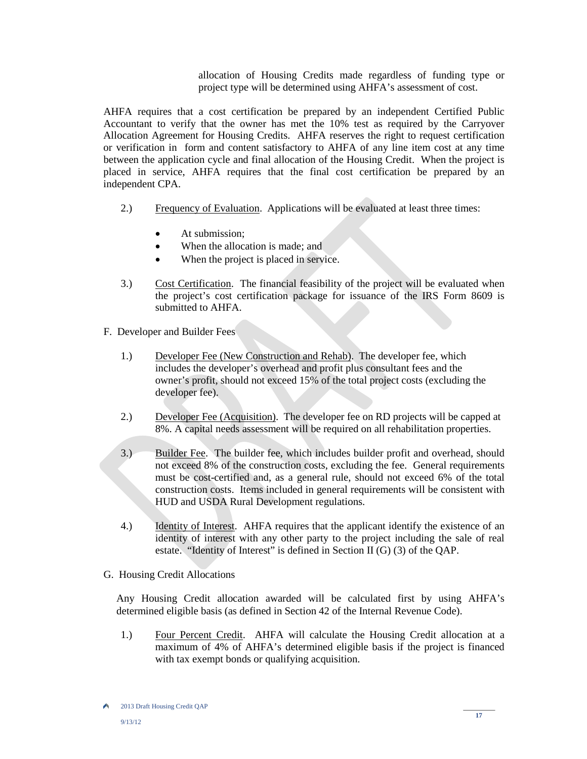allocation of Housing Credits made regardless of funding type or project type will be determined using AHFA's assessment of cost.

AHFA requires that a cost certification be prepared by an independent Certified Public Accountant to verify that the owner has met the 10% test as required by the Carryover Allocation Agreement for Housing Credits. AHFA reserves the right to request certification or verification in form and content satisfactory to AHFA of any line item cost at any time between the application cycle and final allocation of the Housing Credit. When the project is placed in service, AHFA requires that the final cost certification be prepared by an independent CPA.

- 2.) Frequency of Evaluation. Applications will be evaluated at least three times:
	- At submission;
	- When the allocation is made; and
	- When the project is placed in service.
- 3.) Cost Certification. The financial feasibility of the project will be evaluated when the project's cost certification package for issuance of the IRS Form 8609 is submitted to AHFA.
- F. Developer and Builder Fees
	- 1.) Developer Fee (New Construction and Rehab). The developer fee, which includes the developer's overhead and profit plus consultant fees and the owner's profit, should not exceed 15% of the total project costs (excluding the developer fee).
	- 2.) Developer Fee (Acquisition). The developer fee on RD projects will be capped at 8%. A capital needs assessment will be required on all rehabilitation properties.
	- 3.) Builder Fee. The builder fee, which includes builder profit and overhead, should not exceed 8% of the construction costs, excluding the fee. General requirements must be cost-certified and, as a general rule, should not exceed 6% of the total construction costs. Items included in general requirements will be consistent with HUD and USDA Rural Development regulations.
	- 4.) Identity of Interest. AHFA requires that the applicant identify the existence of an identity of interest with any other party to the project including the sale of real estate. "Identity of Interest" is defined in Section II (G) (3) of the QAP.
- G. Housing Credit Allocations

Any Housing Credit allocation awarded will be calculated first by using AHFA's determined eligible basis (as defined in Section 42 of the Internal Revenue Code).

 1.) Four Percent Credit. AHFA will calculate the Housing Credit allocation at a maximum of 4% of AHFA's determined eligible basis if the project is financed with tax exempt bonds or qualifying acquisition.

A 2013 Draft Housing Credit QAP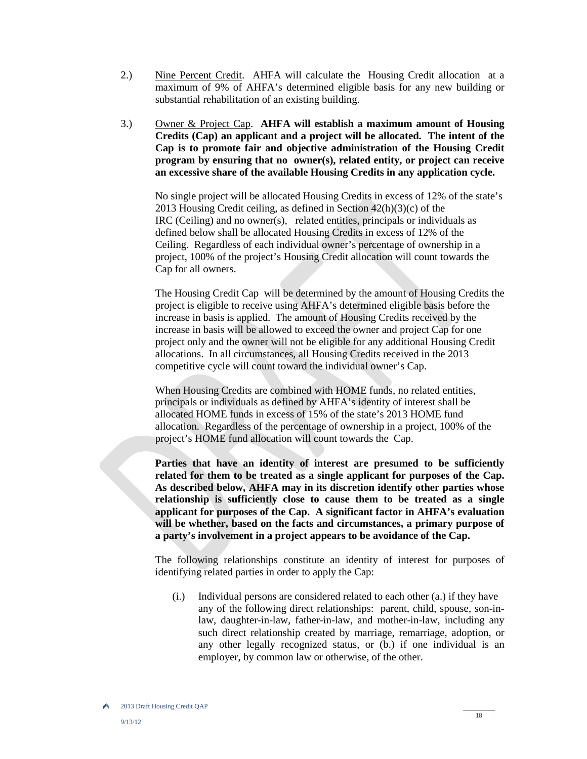- 2.) Nine Percent Credit. AHFA will calculate the Housing Credit allocation at a maximum of 9% of AHFA's determined eligible basis for any new building or substantial rehabilitation of an existing building.
- 3.) Owner & Project Cap. **AHFA will establish a maximum amount of Housing Credits (Cap) an applicant and a project will be allocated. The intent of the Cap is to promote fair and objective administration of the Housing Credit program by ensuring that no owner(s), related entity, or project can receive an excessive share of the available Housing Credits in any application cycle.**

No single project will be allocated Housing Credits in excess of 12% of the state's 2013 Housing Credit ceiling, as defined in Section 42(h)(3)(c) of the IRC (Ceiling) and no owner(s), related entities, principals or individuals as defined below shall be allocated Housing Credits in excess of 12% of the Ceiling. Regardless of each individual owner's percentage of ownership in a project, 100% of the project's Housing Credit allocation will count towards the Cap for all owners.

The Housing Credit Cap will be determined by the amount of Housing Credits the project is eligible to receive using AHFA's determined eligible basis before the increase in basis is applied. The amount of Housing Credits received by the increase in basis will be allowed to exceed the owner and project Cap for one project only and the owner will not be eligible for any additional Housing Credit allocations. In all circumstances, all Housing Credits received in the 2013 competitive cycle will count toward the individual owner's Cap.

 When Housing Credits are combined with HOME funds, no related entities, principals or individuals as defined by AHFA's identity of interest shall be allocated HOME funds in excess of 15% of the state's 2013 HOME fund allocation. Regardless of the percentage of ownership in a project, 100% of the project's HOME fund allocation will count towards the Cap.

**Parties that have an identity of interest are presumed to be sufficiently related for them to be treated as a single applicant for purposes of the Cap. As described below, AHFA may in its discretion identify other parties whose relationship is sufficiently close to cause them to be treated as a single applicant for purposes of the Cap. A significant factor in AHFA's evaluation will be whether, based on the facts and circumstances, a primary purpose of a party's involvement in a project appears to be avoidance of the Cap.** 

The following relationships constitute an identity of interest for purposes of identifying related parties in order to apply the Cap:

(i.) Individual persons are considered related to each other (a.) if they have any of the following direct relationships: parent, child, spouse, son-inlaw, daughter-in-law, father-in-law, and mother-in-law, including any such direct relationship created by marriage, remarriage, adoption, or any other legally recognized status, or (b.) if one individual is an employer, by common law or otherwise, of the other.

A 2013 Draft Housing Credit QAP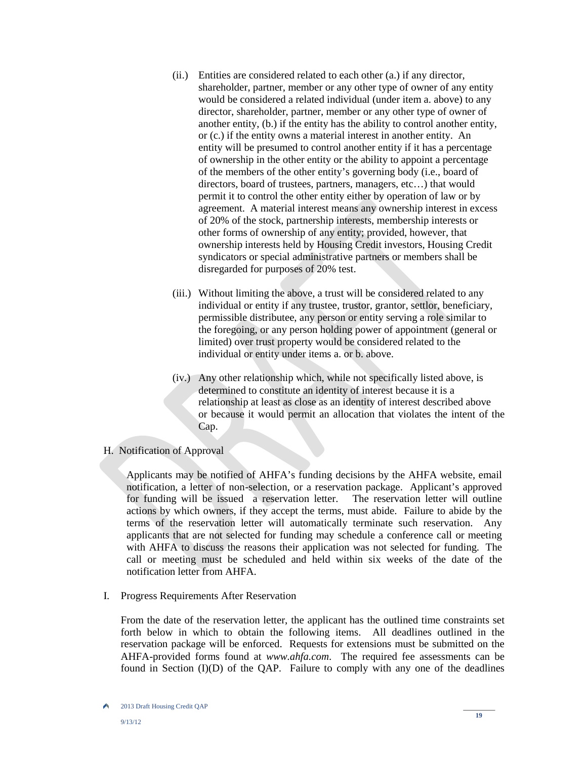- (ii.) Entities are considered related to each other (a.) if any director, shareholder, partner, member or any other type of owner of any entity would be considered a related individual (under item a. above) to any director, shareholder, partner, member or any other type of owner of another entity, (b.) if the entity has the ability to control another entity, or (c.) if the entity owns a material interest in another entity. An entity will be presumed to control another entity if it has a percentage of ownership in the other entity or the ability to appoint a percentage of the members of the other entity's governing body (i.e., board of directors, board of trustees, partners, managers, etc…) that would permit it to control the other entity either by operation of law or by agreement. A material interest means any ownership interest in excess of 20% of the stock, partnership interests, membership interests or other forms of ownership of any entity; provided, however, that ownership interests held by Housing Credit investors, Housing Credit syndicators or special administrative partners or members shall be disregarded for purposes of 20% test.
- (iii.) Without limiting the above, a trust will be considered related to any individual or entity if any trustee, trustor, grantor, settlor, beneficiary, permissible distributee, any person or entity serving a role similar to the foregoing, or any person holding power of appointment (general or limited) over trust property would be considered related to the individual or entity under items a. or b. above.
- (iv.) Any other relationship which, while not specifically listed above, is determined to constitute an identity of interest because it is a relationship at least as close as an identity of interest described above or because it would permit an allocation that violates the intent of the Cap.

# H. Notification of Approval

Applicants may be notified of AHFA's funding decisions by the AHFA website, email notification, a letter of non-selection, or a reservation package. Applicant's approved for funding will be issued a reservation letter. The reservation letter will outline actions by which owners, if they accept the terms, must abide. Failure to abide by the terms of the reservation letter will automatically terminate such reservation. Any applicants that are not selected for funding may schedule a conference call or meeting with AHFA to discuss the reasons their application was not selected for funding. The call or meeting must be scheduled and held within six weeks of the date of the notification letter from AHFA.

I. Progress Requirements After Reservation

From the date of the reservation letter, the applicant has the outlined time constraints set forth below in which to obtain the following items. All deadlines outlined in the reservation package will be enforced. Requests for extensions must be submitted on the AHFA-provided forms found at *www.ahfa.com*. The required fee assessments can be found in Section  $(I)(D)$  of the QAP. Failure to comply with any one of the deadlines

۸ 2013 Draft Housing Credit QAP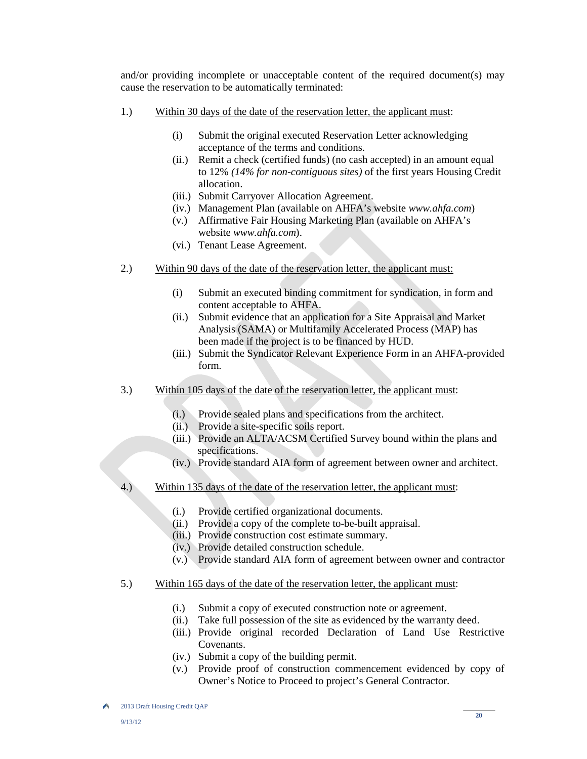and/or providing incomplete or unacceptable content of the required document(s) may cause the reservation to be automatically terminated:

- 1.) Within 30 days of the date of the reservation letter, the applicant must:
	- (i) Submit the original executed Reservation Letter acknowledging acceptance of the terms and conditions.
	- (ii.) Remit a check (certified funds) (no cash accepted) in an amount equal to 12% *(14% for non-contiguous sites)* of the first years Housing Credit allocation.
	- (iii.) Submit Carryover Allocation Agreement.
	- (iv.) Management Plan (available on AHFA's website *www.ahfa.com*)
	- (v.) Affirmative Fair Housing Marketing Plan (available on AHFA's website *www.ahfa.com*).
	- (vi.) Tenant Lease Agreement.
- 2.) Within 90 days of the date of the reservation letter, the applicant must:
	- (i) Submit an executed binding commitment for syndication, in form and content acceptable to AHFA.
	- (ii.) Submit evidence that an application for a Site Appraisal and Market Analysis (SAMA) or Multifamily Accelerated Process (MAP) has been made if the project is to be financed by HUD.
	- (iii.) Submit the Syndicator Relevant Experience Form in an AHFA-provided form.
- 3.) Within 105 days of the date of the reservation letter, the applicant must:
	- (i.) Provide sealed plans and specifications from the architect.
	- (ii.) Provide a site-specific soils report.
	- (iii.) Provide an ALTA/ACSM Certified Survey bound within the plans and specifications.
	- (iv.) Provide standard AIA form of agreement between owner and architect.
- 4.) Within 135 days of the date of the reservation letter, the applicant must:
	- (i.) Provide certified organizational documents.
	- (ii.) Provide a copy of the complete to-be-built appraisal.
	- (iii.) Provide construction cost estimate summary.
	- (iv.) Provide detailed construction schedule.
	- (v.) Provide standard AIA form of agreement between owner and contractor
- 5.) Within 165 days of the date of the reservation letter, the applicant must:
	- (i.) Submit a copy of executed construction note or agreement.
	- (ii.) Take full possession of the site as evidenced by the warranty deed.
	- (iii.) Provide original recorded Declaration of Land Use Restrictive Covenants.
	- (iv.) Submit a copy of the building permit.
	- (v.) Provide proof of construction commencement evidenced by copy of Owner's Notice to Proceed to project's General Contractor.

۸ 2013 Draft Housing Credit QAP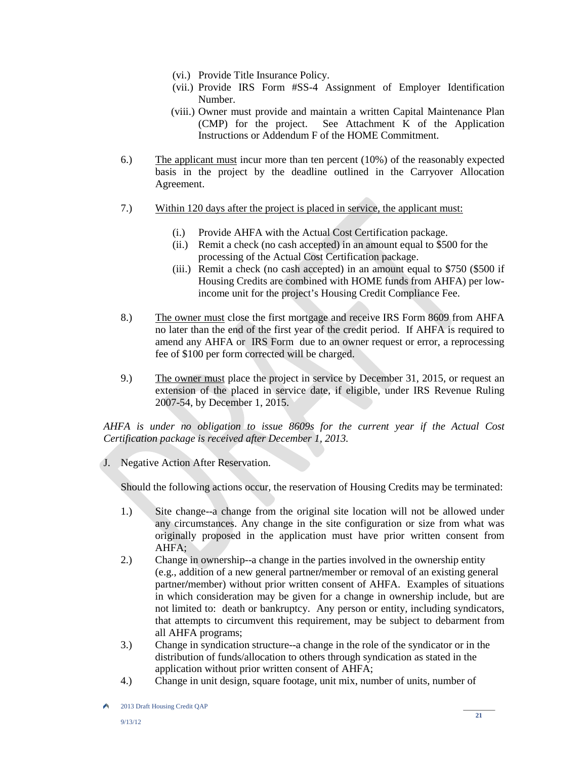- (vi.) Provide Title Insurance Policy.
- (vii.) Provide IRS Form #SS-4 Assignment of Employer Identification Number.
- (viii.) Owner must provide and maintain a written Capital Maintenance Plan (CMP) for the project. See Attachment K of the Application Instructions or Addendum F of the HOME Commitment.
- 6.) The applicant must incur more than ten percent (10%) of the reasonably expected basis in the project by the deadline outlined in the Carryover Allocation Agreement.
- 7.) Within 120 days after the project is placed in service, the applicant must:
	- (i.) Provide AHFA with the Actual Cost Certification package.
	- (ii.) Remit a check (no cash accepted) in an amount equal to \$500 for the processing of the Actual Cost Certification package.
	- (iii.) Remit a check (no cash accepted) in an amount equal to \$750 (\$500 if Housing Credits are combined with HOME funds from AHFA) per lowincome unit for the project's Housing Credit Compliance Fee.
- 8.) The owner must close the first mortgage and receive IRS Form 8609 from AHFA no later than the end of the first year of the credit period. If AHFA is required to amend any AHFA or IRS Form due to an owner request or error, a reprocessing fee of \$100 per form corrected will be charged.
- 9.) The owner must place the project in service by December 31, 2015, or request an extension of the placed in service date, if eligible, under IRS Revenue Ruling 2007-54, by December 1, 2015.

*AHFA is under no obligation to issue 8609s for the current year if the Actual Cost Certification package is received after December 1, 2013.* 

J. Negative Action After Reservation.

Should the following actions occur, the reservation of Housing Credits may be terminated:

- 1.) Site change--a change from the original site location will not be allowed under any circumstances. Any change in the site configuration or size from what was originally proposed in the application must have prior written consent from AHFA;
- 2.) Change in ownership--a change in the parties involved in the ownership entity (e.g., addition of a new general partner**/**member or removal of an existing general partner**/**member) without prior written consent of AHFA. Examples of situations in which consideration may be given for a change in ownership include, but are not limited to: death or bankruptcy. Any person or entity, including syndicators, that attempts to circumvent this requirement, may be subject to debarment from all AHFA programs;
- 3.) Change in syndication structure--a change in the role of the syndicator or in the distribution of funds/allocation to others through syndication as stated in the application without prior written consent of AHFA;
- 4.) Change in unit design, square footage, unit mix, number of units, number of

۸ 2013 Draft Housing Credit QAP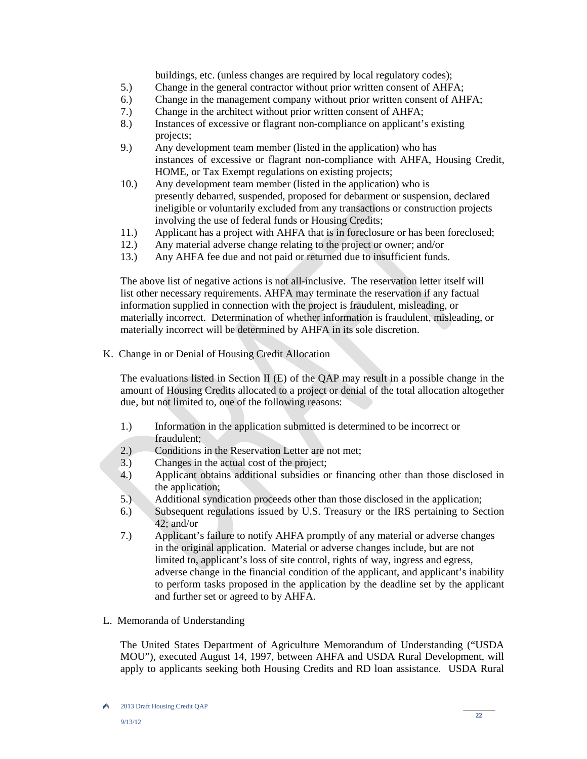buildings, etc. (unless changes are required by local regulatory codes);

- 5.) Change in the general contractor without prior written consent of AHFA;
- 6.) Change in the management company without prior written consent of AHFA;
- 7.) Change in the architect without prior written consent of AHFA;
- 8.) Instances of excessive or flagrant non-compliance on applicant's existing projects;<br>9.) Any deve
- Any development team member (listed in the application) who has instances of excessive or flagrant non-compliance with AHFA, Housing Credit, HOME, or Tax Exempt regulations on existing projects;
- 10.) Any development team member (listed in the application) who is presently debarred, suspended, proposed for debarment or suspension, declared ineligible or voluntarily excluded from any transactions or construction projects involving the use of federal funds or Housing Credits;<br>11.) Applicant has a project with AHFA that is in foreclosu
- Applicant has a project with AHFA that is in foreclosure or has been foreclosed;
- 12.) Any material adverse change relating to the project or owner; and/or
- 13.) Any AHFA fee due and not paid or returned due to insufficient funds.

 The above list of negative actions is not all-inclusive. The reservation letter itself will list other necessary requirements. AHFA may terminate the reservation if any factual information supplied in connection with the project is fraudulent, misleading, or materially incorrect. Determination of whether information is fraudulent, misleading, or materially incorrect will be determined by AHFA in its sole discretion.

K. Change in or Denial of Housing Credit Allocation

The evaluations listed in Section II (E) of the QAP may result in a possible change in the amount of Housing Credits allocated to a project or denial of the total allocation altogether due, but not limited to, one of the following reasons:

- 1.) Information in the application submitted is determined to be incorrect or fraudulent;
- 2.) Conditions in the Reservation Letter are not met;
- 3.) Changes in the actual cost of the project;
- 4.) Applicant obtains additional subsidies or financing other than those disclosed in the application;
- 5.) Additional syndication proceeds other than those disclosed in the application;
- 6.) Subsequent regulations issued by U.S. Treasury or the IRS pertaining to Section 42; and/or
- 7.) Applicant's failure to notify AHFA promptly of any material or adverse changes in the original application. Material or adverse changes include, but are not limited to, applicant's loss of site control, rights of way, ingress and egress, adverse change in the financial condition of the applicant, and applicant's inability to perform tasks proposed in the application by the deadline set by the applicant and further set or agreed to by AHFA.
- L. Memoranda of Understanding

The United States Department of Agriculture Memorandum of Understanding ("USDA MOU"), executed August 14, 1997, between AHFA and USDA Rural Development, will apply to applicants seeking both Housing Credits and RD loan assistance. USDA Rural

A 2013 Draft Housing Credit QAP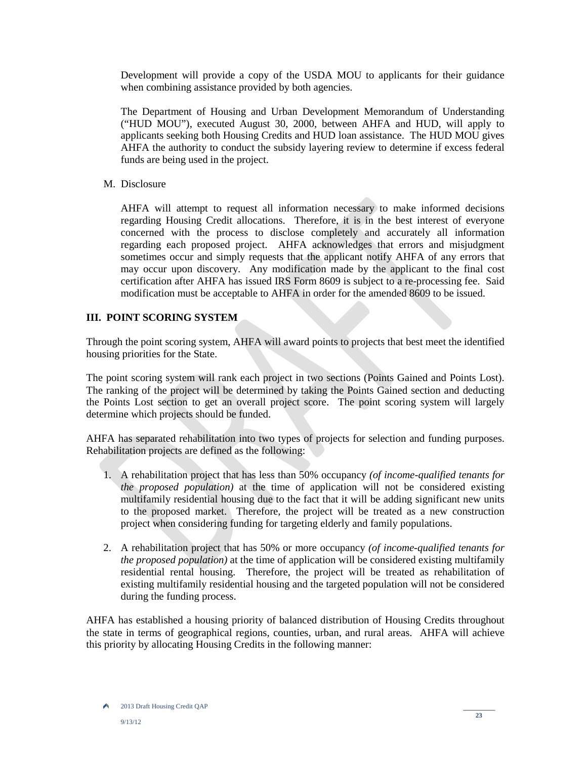Development will provide a copy of the USDA MOU to applicants for their guidance when combining assistance provided by both agencies.

The Department of Housing and Urban Development Memorandum of Understanding ("HUD MOU"), executed August 30, 2000, between AHFA and HUD, will apply to applicants seeking both Housing Credits and HUD loan assistance. The HUD MOU gives AHFA the authority to conduct the subsidy layering review to determine if excess federal funds are being used in the project.

M. Disclosure

AHFA will attempt to request all information necessary to make informed decisions regarding Housing Credit allocations. Therefore, it is in the best interest of everyone concerned with the process to disclose completely and accurately all information regarding each proposed project. AHFA acknowledges that errors and misjudgment sometimes occur and simply requests that the applicant notify AHFA of any errors that may occur upon discovery. Any modification made by the applicant to the final cost certification after AHFA has issued IRS Form 8609 is subject to a re-processing fee. Said modification must be acceptable to AHFA in order for the amended 8609 to be issued.

# **III. POINT SCORING SYSTEM**

Through the point scoring system, AHFA will award points to projects that best meet the identified housing priorities for the State.

The point scoring system will rank each project in two sections (Points Gained and Points Lost). The ranking of the project will be determined by taking the Points Gained section and deducting the Points Lost section to get an overall project score. The point scoring system will largely determine which projects should be funded.

AHFA has separated rehabilitation into two types of projects for selection and funding purposes. Rehabilitation projects are defined as the following:

- 1. A rehabilitation project that has less than 50% occupancy *(of income-qualified tenants for the proposed population)* at the time of application will not be considered existing multifamily residential housing due to the fact that it will be adding significant new units to the proposed market. Therefore, the project will be treated as a new construction project when considering funding for targeting elderly and family populations.
- 2. A rehabilitation project that has 50% or more occupancy *(of income-qualified tenants for the proposed population)* at the time of application will be considered existing multifamily residential rental housing. Therefore, the project will be treated as rehabilitation of existing multifamily residential housing and the targeted population will not be considered during the funding process.

AHFA has established a housing priority of balanced distribution of Housing Credits throughout the state in terms of geographical regions, counties, urban, and rural areas. AHFA will achieve this priority by allocating Housing Credits in the following manner: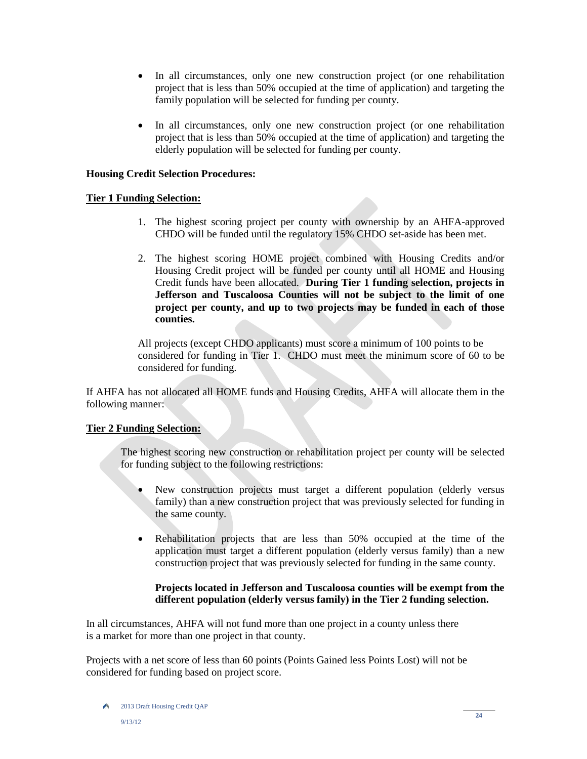- In all circumstances, only one new construction project (or one rehabilitation project that is less than 50% occupied at the time of application) and targeting the family population will be selected for funding per county.
- In all circumstances, only one new construction project (or one rehabilitation project that is less than 50% occupied at the time of application) and targeting the elderly population will be selected for funding per county.

# **Housing Credit Selection Procedures:**

# **Tier 1 Funding Selection:**

- 1. The highest scoring project per county with ownership by an AHFA-approved CHDO will be funded until the regulatory 15% CHDO set-aside has been met.
- 2. The highest scoring HOME project combined with Housing Credits and/or Housing Credit project will be funded per county until all HOME and Housing Credit funds have been allocated. **During Tier 1 funding selection, projects in Jefferson and Tuscaloosa Counties will not be subject to the limit of one project per county, and up to two projects may be funded in each of those counties.**

 All projects (except CHDO applicants) must score a minimum of 100 points to be considered for funding in Tier 1. CHDO must meet the minimum score of 60 to be considered for funding.

If AHFA has not allocated all HOME funds and Housing Credits, AHFA will allocate them in the following manner:

# **Tier 2 Funding Selection:**

 The highest scoring new construction or rehabilitation project per county will be selected for funding subject to the following restrictions:

- New construction projects must target a different population (elderly versus family) than a new construction project that was previously selected for funding in the same county.
- Rehabilitation projects that are less than 50% occupied at the time of the application must target a different population (elderly versus family) than a new construction project that was previously selected for funding in the same county.

# **Projects located in Jefferson and Tuscaloosa counties will be exempt from the different population (elderly versus family) in the Tier 2 funding selection.**

In all circumstances, AHFA will not fund more than one project in a county unless there is a market for more than one project in that county.

Projects with a net score of less than 60 points (Points Gained less Points Lost) will not be considered for funding based on project score.

A 2013 Draft Housing Credit QAP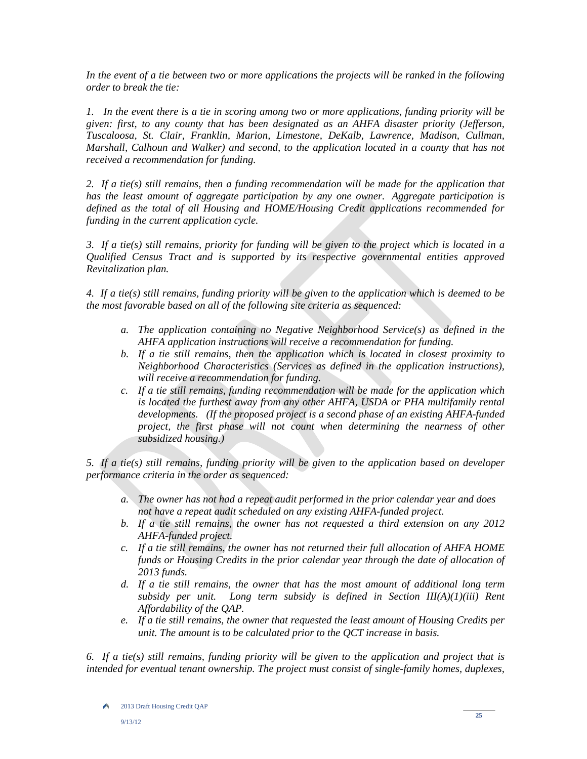*In the event of a tie between two or more applications the projects will be ranked in the following order to break the tie:*

*1. In the event there is a tie in scoring among two or more applications, funding priority will be given: first, to any county that has been designated as an AHFA disaster priority (Jefferson, Tuscaloosa, St. Clair, Franklin, Marion, Limestone, DeKalb, Lawrence, Madison, Cullman, Marshall, Calhoun and Walker) and second, to the application located in a county that has not received a recommendation for funding.* 

*2. If a tie(s) still remains, then a funding recommendation will be made for the application that has the least amount of aggregate participation by any one owner. Aggregate participation is defined as the total of all Housing and HOME/Housing Credit applications recommended for funding in the current application cycle.* 

*3. If a tie(s) still remains, priority for funding will be given to the project which is located in a Qualified Census Tract and is supported by its respective governmental entities approved Revitalization plan.* 

*4. If a tie(s) still remains, funding priority will be given to the application which is deemed to be the most favorable based on all of the following site criteria as sequenced:* 

- *a. The application containing no Negative Neighborhood Service(s) as defined in the AHFA application instructions will receive a recommendation for funding.*
- *b. If a tie still remains, then the application which is located in closest proximity to Neighborhood Characteristics (Services as defined in the application instructions), will receive a recommendation for funding.*
- *c. If a tie still remains, funding recommendation will be made for the application which is located the furthest away from any other AHFA, USDA or PHA multifamily rental developments. (If the proposed project is a second phase of an existing AHFA-funded project, the first phase will not count when determining the nearness of other subsidized housing.)*

*5. If a tie(s) still remains, funding priority will be given to the application based on developer performance criteria in the order as sequenced:* 

- *a. The owner has not had a repeat audit performed in the prior calendar year and does not have a repeat audit scheduled on any existing AHFA-funded project.*
- *b. If a tie still remains, the owner has not requested a third extension on any 2012 AHFA-funded project.*
- *c. If a tie still remains, the owner has not returned their full allocation of AHFA HOME funds or Housing Credits in the prior calendar year through the date of allocation of 2013 funds.*
- *d. If a tie still remains, the owner that has the most amount of additional long term subsidy per unit. Long term subsidy is defined in Section III(A)(1)(iii) Rent Affordability of the QAP.*
- *e. If a tie still remains, the owner that requested the least amount of Housing Credits per unit. The amount is to be calculated prior to the QCT increase in basis.*

*6. If a tie(s) still remains, funding priority will be given to the application and project that is intended for eventual tenant ownership. The project must consist of single-family homes, duplexes,* 

A 2013 Draft Housing Credit QAP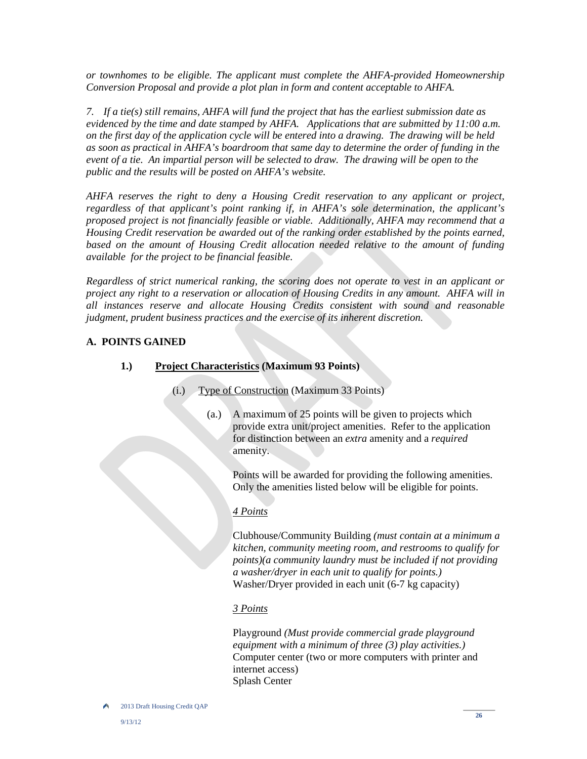*or townhomes to be eligible. The applicant must complete the AHFA-provided Homeownership Conversion Proposal and provide a plot plan in form and content acceptable to AHFA.*

*7.* If a tie(s) still remains, AHFA will fund the project that has the earliest submission date as *evidenced by the time and date stamped by AHFA. Applications that are submitted by 11:00 a.m. on the first day of the application cycle will be entered into a drawing. The drawing will be held as soon as practical in AHFA's boardroom that same day to determine the order of funding in the event of a tie. An impartial person will be selected to draw. The drawing will be open to the public and the results will be posted on AHFA's website.* 

*AHFA reserves the right to deny a Housing Credit reservation to any applicant or project, regardless of that applicant's point ranking if, in AHFA's sole determination, the applicant's proposed project is not financially feasible or viable. Additionally, AHFA may recommend that a Housing Credit reservation be awarded out of the ranking order established by the points earned, based on the amount of Housing Credit allocation needed relative to the amount of funding available for the project to be financial feasible.*

*Regardless of strict numerical ranking, the scoring does not operate to vest in an applicant or project any right to a reservation or allocation of Housing Credits in any amount. AHFA will in all instances reserve and allocate Housing Credits consistent with sound and reasonable judgment, prudent business practices and the exercise of its inherent discretion.*

# **A. POINTS GAINED**

# **1.) Project Characteristics (Maximum 93 Points)**

- (i.) Type of Construction (Maximum 33 Points)
	- (a.) A maximum of 25 points will be given to projects which provide extra unit/project amenities. Refer to the application for distinction between an *extra* amenity and a *required* amenity.

Points will be awarded for providing the following amenities. Only the amenities listed below will be eligible for points.

# *4 Points*

Clubhouse/Community Building *(must contain at a minimum a kitchen, community meeting room, and restrooms to qualify for points)(a community laundry must be included if not providing a washer/dryer in each unit to qualify for points.)* Washer/Dryer provided in each unit (6-7 kg capacity)

# *3 Points*

Playground *(Must provide commercial grade playground equipment with a minimum of three (3) play activities.)* Computer center (two or more computers with printer and internet access) Splash Center

۸ 2013 Draft Housing Credit QAP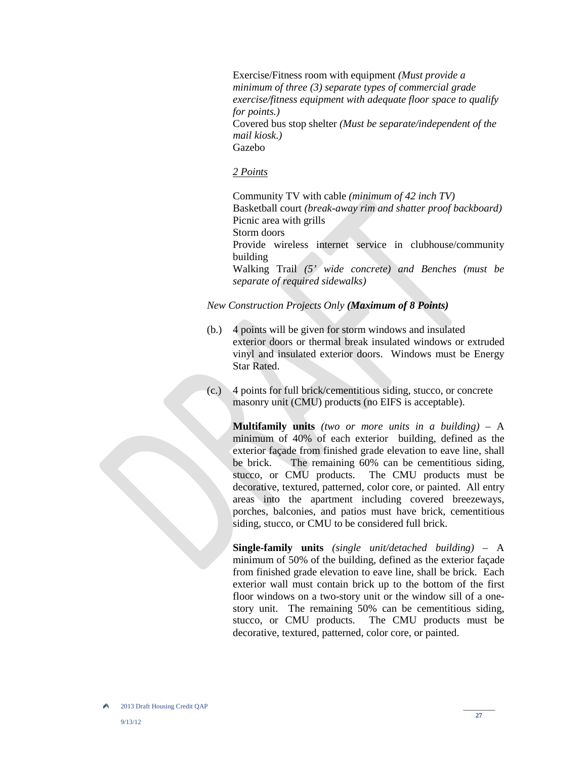Exercise/Fitness room with equipment *(Must provide a minimum of three (3) separate types of commercial grade exercise/fitness equipment with adequate floor space to qualify for points.)*  Covered bus stop shelter *(Must be separate/independent of the mail kiosk.)* 

Gazebo

#### *2 Points*

 Community TV with cable *(minimum of 42 inch TV)* Basketball court *(break-away rim and shatter proof backboard)* Picnic area with grills Storm doors Provide wireless internet service in clubhouse/community building Walking Trail *(5' wide concrete) and Benches (must be separate of required sidewalks)*

*New Construction Projects Only (Maximum of 8 Points)*

- (b.) 4 points will be given for storm windows and insulated exterior doors or thermal break insulated windows or extruded vinyl and insulated exterior doors. Windows must be Energy Star Rated.
- (c.) 4 points for full brick/cementitious siding, stucco, or concrete masonry unit (CMU) products (no EIFS is acceptable).

**Multifamily units** *(two or more units in a building)* – A minimum of 40% of each exterior building, defined as the exterior façade from finished grade elevation to eave line, shall be brick. The remaining 60% can be cementitious siding, stucco, or CMU products. The CMU products must be decorative, textured, patterned, color core, or painted. All entry areas into the apartment including covered breezeways, porches, balconies, and patios must have brick, cementitious siding, stucco, or CMU to be considered full brick.

**Single-family units** *(single unit/detached building)* – A minimum of 50% of the building, defined as the exterior façade from finished grade elevation to eave line, shall be brick. Each exterior wall must contain brick up to the bottom of the first floor windows on a two-story unit or the window sill of a onestory unit. The remaining 50% can be cementitious siding, stucco, or CMU products. The CMU products must be decorative, textured, patterned, color core, or painted.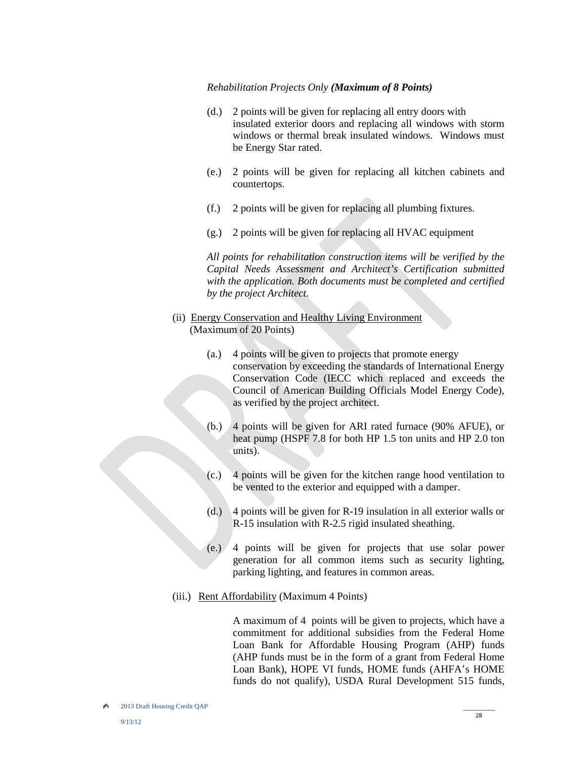#### *Rehabilitation Projects Only (Maximum of 8 Points)*

- (d.) 2 points will be given for replacing all entry doors with insulated exterior doors and replacing all windows with storm windows or thermal break insulated windows. Windows must be Energy Star rated.
- (e.) 2 points will be given for replacing all kitchen cabinets and countertops.
- (f.) 2 points will be given for replacing all plumbing fixtures.
- (g.) 2 points will be given for replacing all HVAC equipment

 *All points for rehabilitation construction items will be verified by the Capital Needs Assessment and Architect's Certification submitted with the application. Both documents must be completed and certified by the project Architect.*

- (ii) Energy Conservation and Healthy Living Environment (Maximum of 20 Points)
	- (a.) 4 points will be given to projects that promote energy conservation by exceeding the standards of International Energy Conservation Code (IECC which replaced and exceeds the Council of American Building Officials Model Energy Code), as verified by the project architect.
	- (b.) 4 points will be given for ARI rated furnace (90% AFUE), or heat pump (HSPF 7.8 for both HP 1.5 ton units and HP 2.0 ton units).
	- (c.) 4 points will be given for the kitchen range hood ventilation to be vented to the exterior and equipped with a damper.
	- (d.) 4 points will be given for R-19 insulation in all exterior walls or R-15 insulation with R-2.5 rigid insulated sheathing.
	- (e.) 4 points will be given for projects that use solar power generation for all common items such as security lighting, parking lighting, and features in common areas.
- (iii.) Rent Affordability (Maximum 4 Points)

 A maximum of 4 points will be given to projects, which have a commitment for additional subsidies from the Federal Home Loan Bank for Affordable Housing Program (AHP) funds (AHP funds must be in the form of a grant from Federal Home Loan Bank), HOPE VI funds, HOME funds (AHFA's HOME funds do not qualify), USDA Rural Development 515 funds,

2013 Draft Housing Credit QAP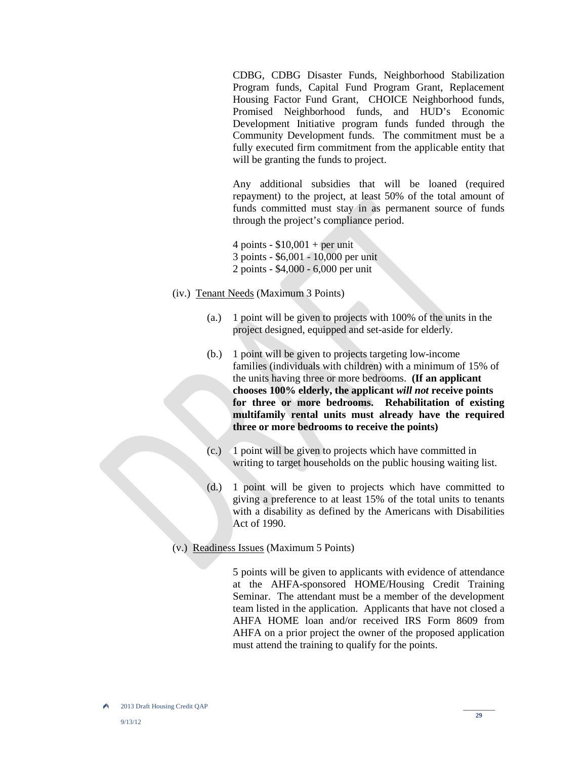CDBG, CDBG Disaster Funds, Neighborhood Stabilization Program funds, Capital Fund Program Grant, Replacement Housing Factor Fund Grant, CHOICE Neighborhood funds, Promised Neighborhood funds, and HUD's Economic Development Initiative program funds funded through the Community Development funds. The commitment must be a fully executed firm commitment from the applicable entity that will be granting the funds to project.

 Any additional subsidies that will be loaned (required repayment) to the project, at least 50% of the total amount of funds committed must stay in as permanent source of funds through the project's compliance period.

4 points -  $$10,001 + per$  unit 3 points - \$6,001 - 10,000 per unit 2 points - \$4,000 - 6,000 per unit

- (iv.) Tenant Needs (Maximum 3 Points)
	- (a.) 1 point will be given to projects with 100% of the units in the project designed, equipped and set-aside for elderly.
	- (b.) 1 point will be given to projects targeting low-income families (individuals with children) with a minimum of 15% of the units having three or more bedrooms. **(If an applicant chooses 100% elderly, the applicant** *will not* **receive points for three or more bedrooms. Rehabilitation of existing multifamily rental units must already have the required three or more bedrooms to receive the points)**
	- (c.) 1 point will be given to projects which have committed in writing to target households on the public housing waiting list.
	- (d.) 1 point will be given to projects which have committed to giving a preference to at least 15% of the total units to tenants with a disability as defined by the Americans with Disabilities Act of 1990.
- (v.) Readiness Issues (Maximum 5 Points)

 5 points will be given to applicants with evidence of attendance at the AHFA-sponsored HOME/Housing Credit Training Seminar. The attendant must be a member of the development team listed in the application. Applicants that have not closed a AHFA HOME loan and/or received IRS Form 8609 from AHFA on a prior project the owner of the proposed application must attend the training to qualify for the points.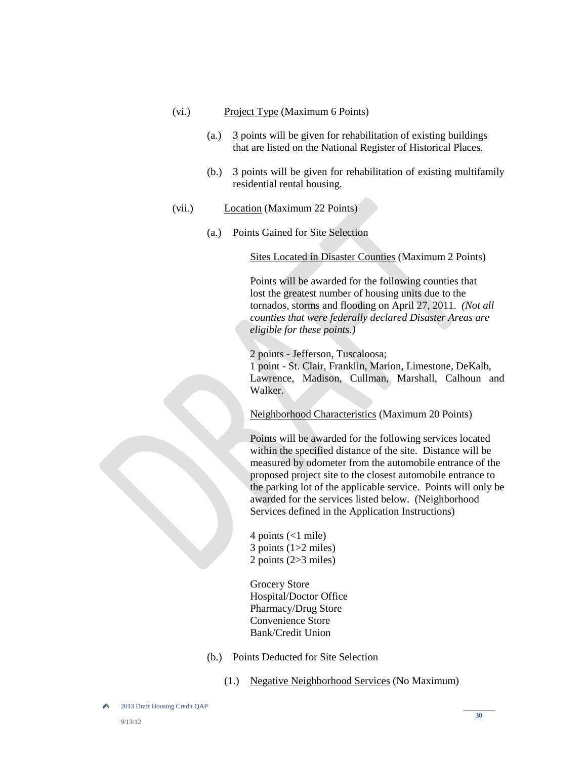- (vi.) Project Type (Maximum 6 Points)
	- (a.) 3 points will be given for rehabilitation of existing buildings that are listed on the National Register of Historical Places.
	- (b.) 3 points will be given for rehabilitation of existing multifamily residential rental housing.
- (vii.) Location (Maximum 22 Points)
	- (a.) Points Gained for Site Selection

Sites Located in Disaster Counties (Maximum 2 Points)

 Points will be awarded for the following counties that lost the greatest number of housing units due to the tornados, storms and flooding on April 27, 2011. *(Not all counties that were federally declared Disaster Areas are eligible for these points.)*

 2 points - Jefferson, Tuscaloosa; 1 point - St. Clair, Franklin, Marion, Limestone, DeKalb, Lawrence, Madison, Cullman, Marshall, Calhoun and Walker.

Neighborhood Characteristics (Maximum 20 Points)

Points will be awarded for the following services located within the specified distance of the site. Distance will be measured by odometer from the automobile entrance of the proposed project site to the closest automobile entrance to the parking lot of the applicable service. Points will only be awarded for the services listed below. (Neighborhood Services defined in the Application Instructions)

4 points (<1 mile) 3 points (1>2 miles) 2 points (2>3 miles)

Grocery Store Hospital/Doctor Office Pharmacy/Drug Store Convenience Store Bank/Credit Union

- (b.) Points Deducted for Site Selection
	- (1.) Negative Neighborhood Services (No Maximum)

<sup>2013</sup> Draft Housing Credit QAP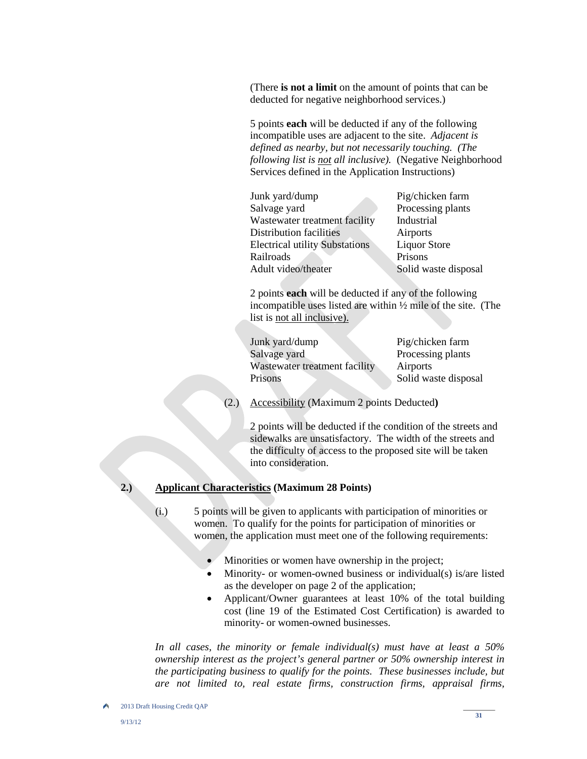(There **is not a limit** on the amount of points that can be deducted for negative neighborhood services.)

5 points **each** will be deducted if any of the following incompatible uses are adjacent to the site. *Adjacent is defined as nearby, but not necessarily touching. (The following list is not all inclusive).* (Negative Neighborhood Services defined in the Application Instructions)

| Junk yard/dump                        | Pig/chicken farm     |
|---------------------------------------|----------------------|
| Salvage yard                          | Processing plants    |
| Wastewater treatment facility         | Industrial           |
| Distribution facilities               | Airports             |
| <b>Electrical utility Substations</b> | <b>Liquor Store</b>  |
| Railroads                             | Prisons              |
| Adult video/theater                   | Solid waste disposal |

2 points **each** will be deducted if any of the following incompatible uses listed are within ½ mile of the site. (The list is not all inclusive).

| Junk yard/dump                | Pig/chicken farm     |
|-------------------------------|----------------------|
| Salvage yard                  | Processing plants    |
| Wastewater treatment facility | Airports             |
| Prisons                       | Solid waste disposal |
|                               |                      |

(2.) Accessibility (Maximum 2 points Deducted**)**

2 points will be deducted if the condition of the streets and sidewalks are unsatisfactory. The width of the streets and the difficulty of access to the proposed site will be taken into consideration.

# **2.) Applicant Characteristics (Maximum 28 Points)**

- (i.) 5 points will be given to applicants with participation of minorities or women. To qualify for the points for participation of minorities or women, the application must meet one of the following requirements:
	- Minorities or women have ownership in the project;
	- Minority- or women-owned business or individual(s) is/are listed as the developer on page 2 of the application;
	- Applicant/Owner guarantees at least 10% of the total building cost (line 19 of the Estimated Cost Certification) is awarded to minority- or women-owned businesses.

 *In all cases, the minority or female individual(s) must have at least a 50% ownership interest as the project's general partner or 50% ownership interest in the participating business to qualify for the points. These businesses include, but are not limited to, real estate firms, construction firms, appraisal firms,*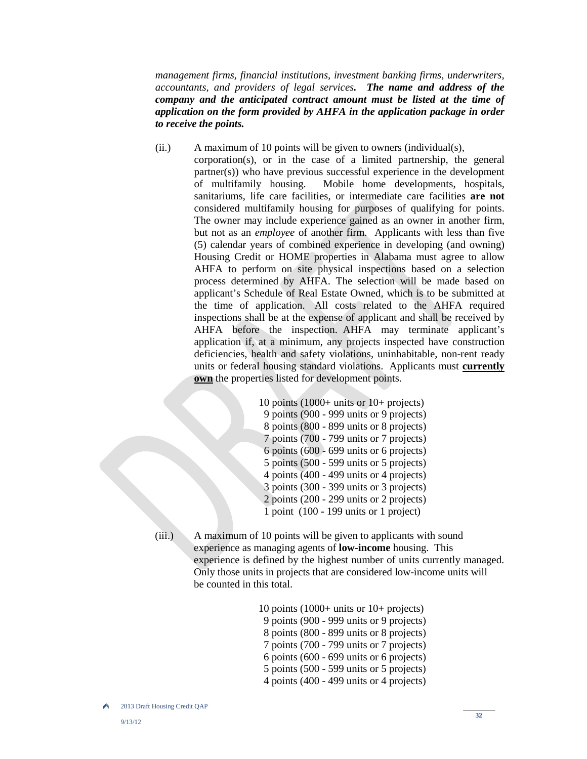*management firms, financial institutions, investment banking firms, underwriters, accountants, and providers of legal services. The name and address of the company and the anticipated contract amount must be listed at the time of application on the form provided by AHFA in the application package in order to receive the points.*

(ii.) A maximum of 10 points will be given to owners (individual(s), corporation(s), or in the case of a limited partnership, the general partner(s)) who have previous successful experience in the development of multifamily housing. Mobile home developments, hospitals, sanitariums, life care facilities, or intermediate care facilities **are not** considered multifamily housing for purposes of qualifying for points. The owner may include experience gained as an owner in another firm, but not as an *employee* of another firm. Applicants with less than five (5) calendar years of combined experience in developing (and owning) Housing Credit or HOME properties in Alabama must agree to allow AHFA to perform on site physical inspections based on a selection process determined by AHFA. The selection will be made based on applicant's Schedule of Real Estate Owned, which is to be submitted at the time of application. All costs related to the AHFA required inspections shall be at the expense of applicant and shall be received by AHFA before the inspection. AHFA may terminate applicant's application if, at a minimum, any projects inspected have construction deficiencies, health and safety violations, uninhabitable, non-rent ready units or federal housing standard violations. Applicants must **currently own** the properties listed for development points.

> 10 points (1000+ units or 10+ projects) 9 points (900 - 999 units or 9 projects) 8 points (800 - 899 units or 8 projects) 7 points (700 - 799 units or 7 projects) 6 points (600 - 699 units or 6 projects) 5 points (500 - 599 units or 5 projects) 4 points (400 - 499 units or 4 projects) 3 points (300 - 399 units or 3 projects) 2 points (200 - 299 units or 2 projects) 1 point (100 - 199 units or 1 project)

 (iii.) A maximum of 10 points will be given to applicants with sound experience as managing agents of **low-income** housing. This experience is defined by the highest number of units currently managed. Only those units in projects that are considered low-income units will be counted in this total.

> 10 points (1000+ units or 10+ projects) 9 points (900 - 999 units or 9 projects) 8 points (800 - 899 units or 8 projects) 7 points (700 - 799 units or 7 projects) 6 points (600 - 699 units or 6 projects) 5 points (500 - 599 units or 5 projects) 4 points (400 - 499 units or 4 projects)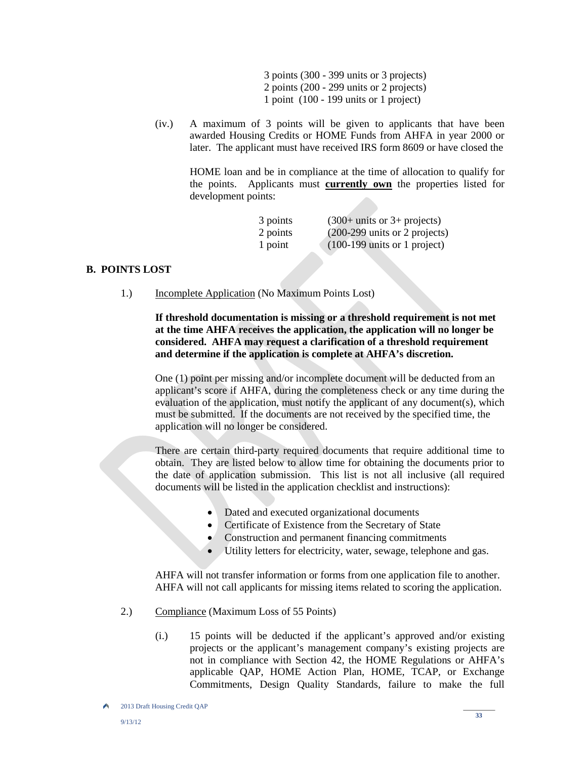3 points (300 - 399 units or 3 projects) 2 points (200 - 299 units or 2 projects) 1 point (100 - 199 units or 1 project)

(iv.) A maximum of 3 points will be given to applicants that have been awarded Housing Credits or HOME Funds from AHFA in year 2000 or later. The applicant must have received IRS form 8609 or have closed the

HOME loan and be in compliance at the time of allocation to qualify for the points. Applicants must **currently own** the properties listed for development points:

| 3 points | $(300+$ units or 3+ projects)                    |
|----------|--------------------------------------------------|
| 2 points | $(200-299 \text{ units or } 2 \text{ projects})$ |
| 1 point  | $(100-199 \text{ units or } 1 \text{ project})$  |

#### **B. POINTS LOST**

1.) Incomplete Application (No Maximum Points Lost)

 **If threshold documentation is missing or a threshold requirement is not met at the time AHFA receives the application, the application will no longer be considered. AHFA may request a clarification of a threshold requirement and determine if the application is complete at AHFA's discretion.** 

One (1) point per missing and/or incomplete document will be deducted from an applicant's score if AHFA, during the completeness check or any time during the evaluation of the application, must notify the applicant of any document(s), which must be submitted. If the documents are not received by the specified time, the application will no longer be considered.

 There are certain third-party required documents that require additional time to obtain. They are listed below to allow time for obtaining the documents prior to the date of application submission. This list is not all inclusive (all required documents will be listed in the application checklist and instructions):

- Dated and executed organizational documents
- Certificate of Existence from the Secretary of State
- Construction and permanent financing commitments
- Utility letters for electricity, water, sewage, telephone and gas.

 AHFA will not transfer information or forms from one application file to another. AHFA will not call applicants for missing items related to scoring the application.

- 2.) Compliance (Maximum Loss of 55 Points)
	- (i.) 15 points will be deducted if the applicant's approved and/or existing projects or the applicant's management company's existing projects are not in compliance with Section 42, the HOME Regulations or AHFA's applicable QAP, HOME Action Plan, HOME, TCAP, or Exchange Commitments, Design Quality Standards, failure to make the full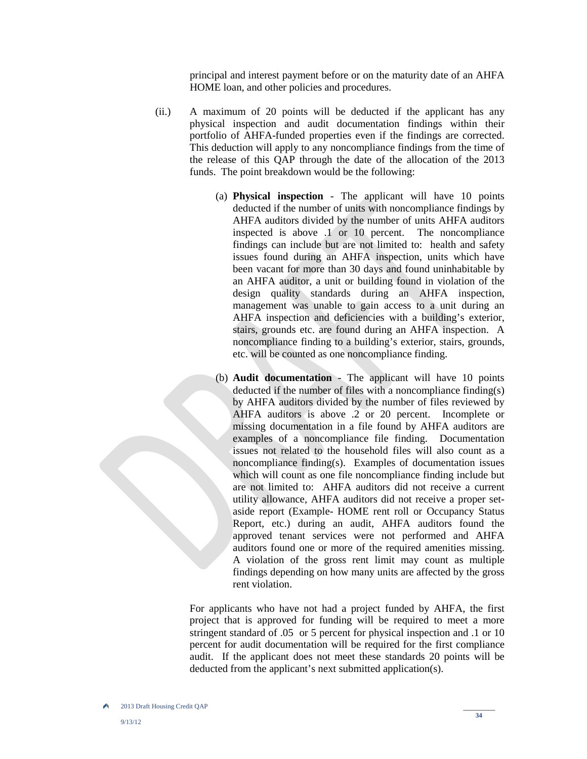principal and interest payment before or on the maturity date of an AHFA HOME loan, and other policies and procedures.

- (ii.) A maximum of 20 points will be deducted if the applicant has any physical inspection and audit documentation findings within their portfolio of AHFA-funded properties even if the findings are corrected. This deduction will apply to any noncompliance findings from the time of the release of this QAP through the date of the allocation of the 2013 funds. The point breakdown would be the following:
	- (a) **Physical inspection** The applicant will have 10 points deducted if the number of units with noncompliance findings by AHFA auditors divided by the number of units AHFA auditors inspected is above .1 or 10 percent. The noncompliance findings can include but are not limited to: health and safety issues found during an AHFA inspection, units which have been vacant for more than 30 days and found uninhabitable by an AHFA auditor, a unit or building found in violation of the design quality standards during an AHFA inspection, management was unable to gain access to a unit during an AHFA inspection and deficiencies with a building's exterior, stairs, grounds etc. are found during an AHFA inspection. A noncompliance finding to a building's exterior, stairs, grounds, etc. will be counted as one noncompliance finding.
	- (b) **Audit documentation** The applicant will have 10 points deducted if the number of files with a noncompliance finding(s) by AHFA auditors divided by the number of files reviewed by AHFA auditors is above .2 or 20 percent. Incomplete or missing documentation in a file found by AHFA auditors are examples of a noncompliance file finding. Documentation issues not related to the household files will also count as a noncompliance finding(s). Examples of documentation issues which will count as one file noncompliance finding include but are not limited to: AHFA auditors did not receive a current utility allowance, AHFA auditors did not receive a proper setaside report (Example- HOME rent roll or Occupancy Status Report, etc.) during an audit, AHFA auditors found the approved tenant services were not performed and AHFA auditors found one or more of the required amenities missing. A violation of the gross rent limit may count as multiple findings depending on how many units are affected by the gross rent violation.

For applicants who have not had a project funded by AHFA, the first project that is approved for funding will be required to meet a more stringent standard of .05 or 5 percent for physical inspection and .1 or 10 percent for audit documentation will be required for the first compliance audit. If the applicant does not meet these standards 20 points will be deducted from the applicant's next submitted application(s).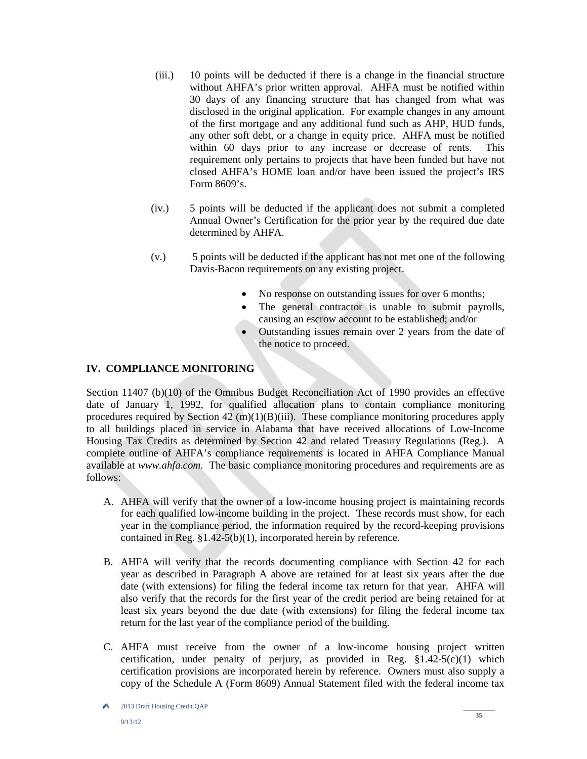- (iii.) 10 points will be deducted if there is a change in the financial structure without AHFA's prior written approval. AHFA must be notified within 30 days of any financing structure that has changed from what was disclosed in the original application. For example changes in any amount of the first mortgage and any additional fund such as AHP, HUD funds, any other soft debt, or a change in equity price. AHFA must be notified within 60 days prior to any increase or decrease of rents. This requirement only pertains to projects that have been funded but have not closed AHFA's HOME loan and/or have been issued the project's IRS Form 8609's.
- (iv.) 5 points will be deducted if the applicant does not submit a completed Annual Owner's Certification for the prior year by the required due date determined by AHFA.
- (v.) 5 points will be deducted if the applicant has not met one of the following Davis-Bacon requirements on any existing project.
	- No response on outstanding issues for over 6 months;
	- The general contractor is unable to submit payrolls, causing an escrow account to be established; and/or
	- Outstanding issues remain over 2 years from the date of the notice to proceed.

# **IV. COMPLIANCE MONITORING**

Section 11407 (b)(10) of the Omnibus Budget Reconciliation Act of 1990 provides an effective date of January 1, 1992, for qualified allocation plans to contain compliance monitoring procedures required by Section  $42 \text{ (m)}(1)(B)$ (iii). These compliance monitoring procedures apply to all buildings placed in service in Alabama that have received allocations of Low-Income Housing Tax Credits as determined by Section 42 and related Treasury Regulations (Reg.). A complete outline of AHFA's compliance requirements is located in AHFA Compliance Manual available at *www.ahfa.com*. The basic compliance monitoring procedures and requirements are as follows:

- A. AHFA will verify that the owner of a low-income housing project is maintaining records for each qualified low-income building in the project. These records must show, for each year in the compliance period, the information required by the record-keeping provisions contained in Reg. §1.42-5(b)(1), incorporated herein by reference.
- B. AHFA will verify that the records documenting compliance with Section 42 for each year as described in Paragraph A above are retained for at least six years after the due date (with extensions) for filing the federal income tax return for that year. AHFA will also verify that the records for the first year of the credit period are being retained for at least six years beyond the due date (with extensions) for filing the federal income tax return for the last year of the compliance period of the building.
- C. AHFA must receive from the owner of a low-income housing project written certification, under penalty of perjury, as provided in Reg. §1.42-5(c)(1) which certification provisions are incorporated herein by reference. Owners must also supply a copy of the Schedule A (Form 8609) Annual Statement filed with the federal income tax

A 2013 Draft Housing Credit QAP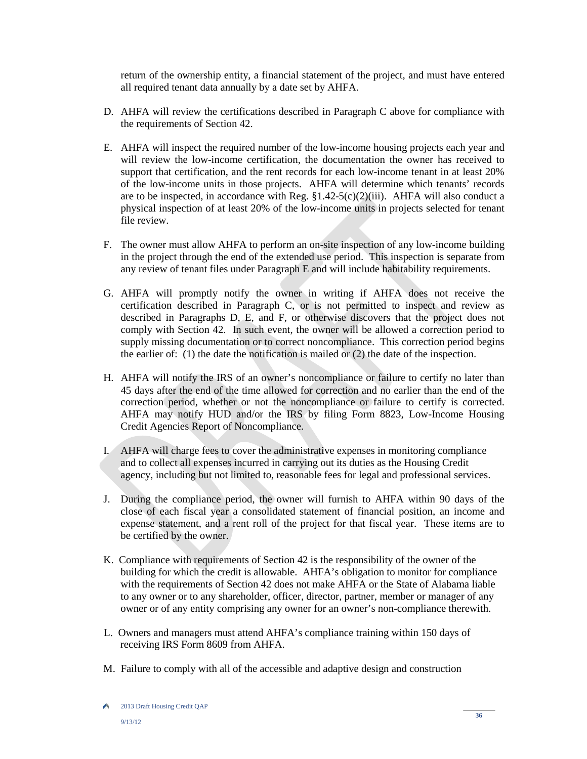return of the ownership entity, a financial statement of the project, and must have entered all required tenant data annually by a date set by AHFA.

- D. AHFA will review the certifications described in Paragraph C above for compliance with the requirements of Section 42.
- E. AHFA will inspect the required number of the low-income housing projects each year and will review the low-income certification, the documentation the owner has received to support that certification, and the rent records for each low-income tenant in at least 20% of the low-income units in those projects. AHFA will determine which tenants' records are to be inspected, in accordance with Reg.  $$1.42-5(c)(2)(iii)$ . AHFA will also conduct a physical inspection of at least 20% of the low-income units in projects selected for tenant file review.
- F. The owner must allow AHFA to perform an on-site inspection of any low-income building in the project through the end of the extended use period. This inspection is separate from any review of tenant files under Paragraph E and will include habitability requirements.
- G. AHFA will promptly notify the owner in writing if AHFA does not receive the certification described in Paragraph C, or is not permitted to inspect and review as described in Paragraphs D, E, and F, or otherwise discovers that the project does not comply with Section 42. In such event, the owner will be allowed a correction period to supply missing documentation or to correct noncompliance. This correction period begins the earlier of: (1) the date the notification is mailed or (2) the date of the inspection.
- H. AHFA will notify the IRS of an owner's noncompliance or failure to certify no later than 45 days after the end of the time allowed for correction and no earlier than the end of the correction period, whether or not the noncompliance or failure to certify is corrected. AHFA may notify HUD and/or the IRS by filing Form 8823, Low-Income Housing Credit Agencies Report of Noncompliance.
- I. AHFA will charge fees to cover the administrative expenses in monitoring compliance and to collect all expenses incurred in carrying out its duties as the Housing Credit agency, including but not limited to, reasonable fees for legal and professional services.
- J. During the compliance period, the owner will furnish to AHFA within 90 days of the close of each fiscal year a consolidated statement of financial position, an income and expense statement, and a rent roll of the project for that fiscal year. These items are to be certified by the owner.
- K. Compliance with requirements of Section 42 is the responsibility of the owner of the building for which the credit is allowable. AHFA's obligation to monitor for compliance with the requirements of Section 42 does not make AHFA or the State of Alabama liable to any owner or to any shareholder, officer, director, partner, member or manager of any owner or of any entity comprising any owner for an owner's non-compliance therewith.
- L. Owners and managers must attend AHFA's compliance training within 150 days of receiving IRS Form 8609 from AHFA.
- M. Failure to comply with all of the accessible and adaptive design and construction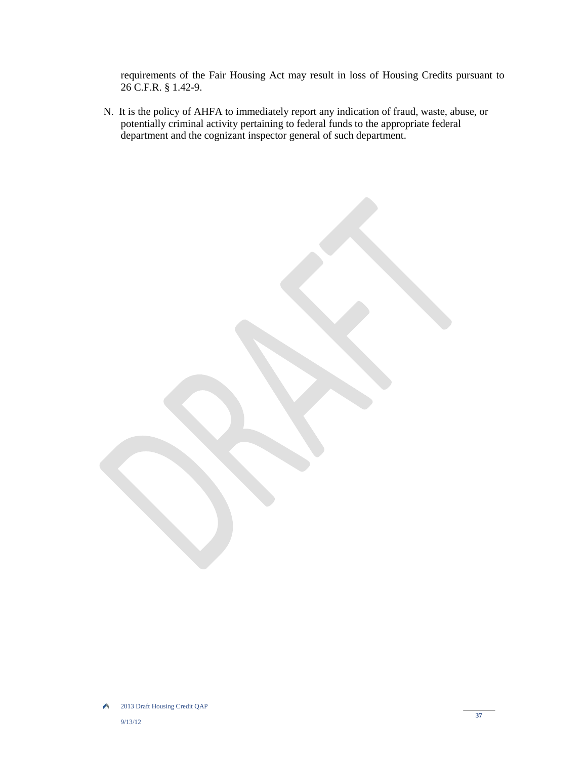requirements of the Fair Housing Act may result in loss of Housing Credits pursuant to 26 C.F.R. § 1.42-9.

 N. It is the policy of AHFA to immediately report any indication of fraud, waste, abuse, or potentially criminal activity pertaining to federal funds to the appropriate federal department and the cognizant inspector general of such department.

2013 Draft Housing Credit QAP A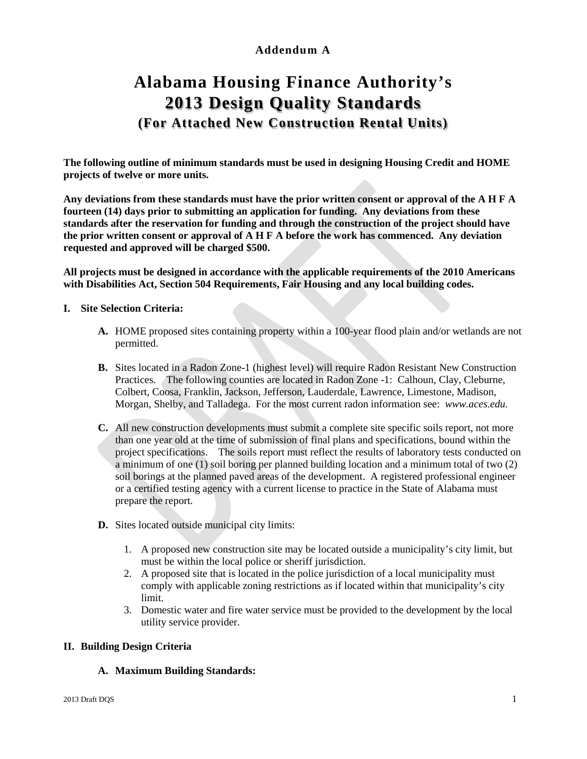# **Addendum A**

# **Alabama Housing Finance Authority's 2013 Design Quality Standards (For Attached New Construction Rental Units)**

**The following outline of minimum standards must be used in designing Housing Credit and HOME projects of twelve or more units.**

**Any deviations from these standards must have the prior written consent or approval of the A H F A fourteen (14) days prior to submitting an application for funding. Any deviations from these standards after the reservation for funding and through the construction of the project should have the prior written consent or approval of A H F A before the work has commenced. Any deviation requested and approved will be charged \$500.** 

**All projects must be designed in accordance with the applicable requirements of the 2010 Americans with Disabilities Act, Section 504 Requirements, Fair Housing and any local building codes.** 

- **I. Site Selection Criteria:**
	- **A.** HOME proposed sites containing property within a 100-year flood plain and/or wetlands are not permitted.
	- **B.** Sites located in a Radon Zone-1 (highest level) will require Radon Resistant New Construction Practices. The following counties are located in Radon Zone -1: Calhoun, Clay, Cleburne, Colbert, Coosa, Franklin, Jackson, Jefferson, Lauderdale, Lawrence, Limestone, Madison, Morgan, Shelby, and Talladega. For the most current radon information see: *www.aces.edu.*
	- **C.** All new construction developments must submit a complete site specific soils report, not more than one year old at the time of submission of final plans and specifications, bound within the project specifications. The soils report must reflect the results of laboratory tests conducted on a minimum of one (1) soil boring per planned building location and a minimum total of two (2) soil borings at the planned paved areas of the development. A registered professional engineer or a certified testing agency with a current license to practice in the State of Alabama must prepare the report.
	- **D.** Sites located outside municipal city limits:
		- 1. A proposed new construction site may be located outside a municipality's city limit, but must be within the local police or sheriff jurisdiction.
		- 2. A proposed site that is located in the police jurisdiction of a local municipality must comply with applicable zoning restrictions as if located within that municipality's city limit.
		- 3. Domestic water and fire water service must be provided to the development by the local utility service provider.

# **II. Building Design Criteria**

# **A. Maximum Building Standards:**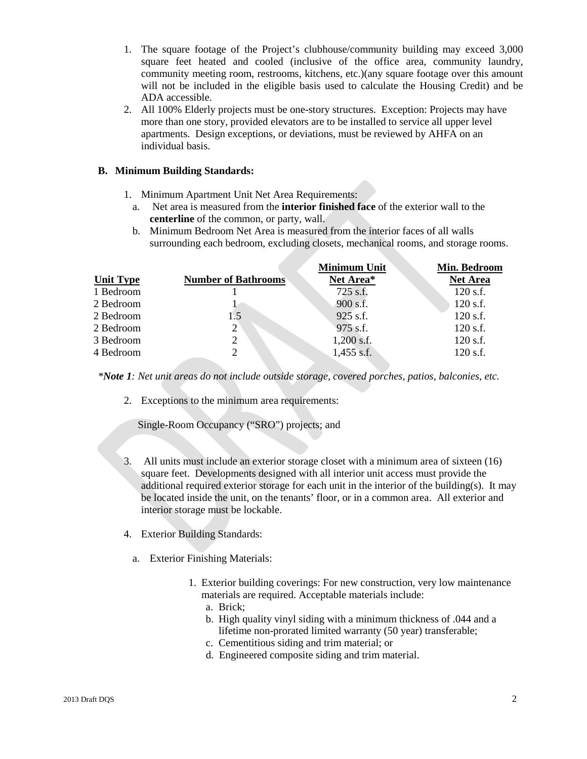- 1. The square footage of the Project's clubhouse/community building may exceed 3,000 square feet heated and cooled (inclusive of the office area, community laundry, community meeting room, restrooms, kitchens, etc.)(any square footage over this amount will not be included in the eligible basis used to calculate the Housing Credit) and be ADA accessible.
- 2. All 100% Elderly projects must be one-story structures. Exception: Projects may have more than one story, provided elevators are to be installed to service all upper level apartments. Design exceptions, or deviations, must be reviewed by AHFA on an individual basis.

# **B. Minimum Building Standards:**

- 1. Minimum Apartment Unit Net Area Requirements:
	- a. Net area is measured from the **interior finished face** of the exterior wall to the **centerline** of the common, or party, wall.
	- b. Minimum Bedroom Net Area is measured from the interior faces of all walls surrounding each bedroom, excluding closets, mechanical rooms, and storage rooms.

|                  |                             | <b>Minimum Unit</b> | Min. Bedroom    |
|------------------|-----------------------------|---------------------|-----------------|
| <b>Unit Type</b> | <b>Number of Bathrooms</b>  | Net Area*           | <b>Net Area</b> |
| 1 Bedroom        |                             | 725 s.f.            | $120$ s.f.      |
| 2 Bedroom        |                             | 900 s.f.            | $120$ s.f.      |
| 2 Bedroom        | 1.5                         | 925 s.f.            | $120$ s.f.      |
| 2 Bedroom        | $2^{\circ}$                 | 975 s.f.            | $120$ s.f.      |
| 3 Bedroom        | 2                           | $1,200$ s.f.        | $120$ s.f.      |
| 4 Bedroom        | $\mathcal{D}_{\mathcal{L}}$ | $1,455$ s.f.        | 120 s.f.        |

 *\*Note 1: Net unit areas do not include outside storage, covered porches, patios, balconies, etc.* 

2. Exceptions to the minimum area requirements:

Single-Room Occupancy ("SRO") projects; and

- 3. All units must include an exterior storage closet with a minimum area of sixteen (16) square feet. Developments designed with all interior unit access must provide the additional required exterior storage for each unit in the interior of the building(s). It may be located inside the unit, on the tenants' floor, or in a common area. All exterior and interior storage must be lockable.
- 4. Exterior Building Standards:
	- a. Exterior Finishing Materials:
		- 1. Exterior building coverings: For new construction, very low maintenance materials are required. Acceptable materials include:
			- a. Brick;
			- b. High quality vinyl siding with a minimum thickness of .044 and a lifetime non-prorated limited warranty (50 year) transferable;
			- c. Cementitious siding and trim material; or
			- d. Engineered composite siding and trim material.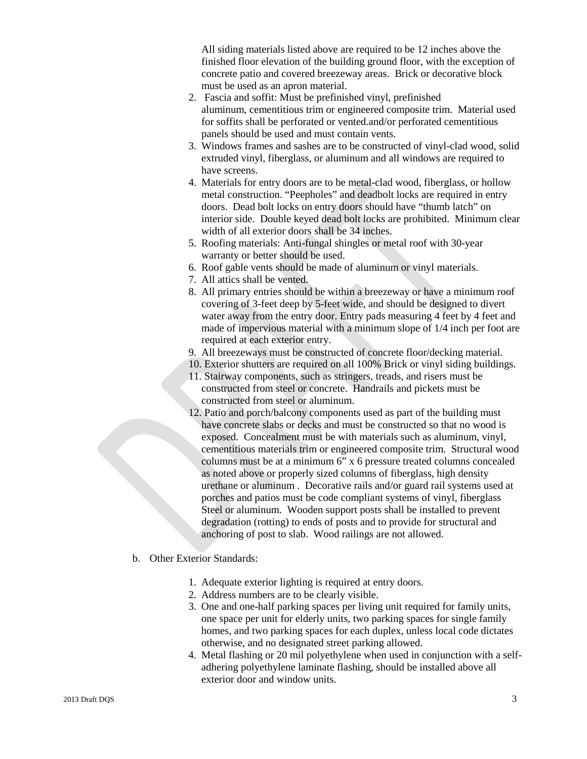All siding materials listed above are required to be 12 inches above the finished floor elevation of the building ground floor, with the exception of concrete patio and covered breezeway areas. Brick or decorative block must be used as an apron material.

- 2. Fascia and soffit: Must be prefinished vinyl, prefinished aluminum, cementitious trim or engineered composite trim. Material used for soffits shall be perforated or vented.and/or perforated cementitious panels should be used and must contain vents.
- 3. Windows frames and sashes are to be constructed of vinyl-clad wood, solid extruded vinyl, fiberglass, or aluminum and all windows are required to have screens.
- 4. Materials for entry doors are to be metal-clad wood, fiberglass, or hollow metal construction. "Peepholes" and deadbolt locks are required in entry doors. Dead bolt locks on entry doors should have "thumb latch" on interior side. Double keyed dead bolt locks are prohibited. Minimum clear width of all exterior doors shall be 34 inches.
- 5. Roofing materials: Anti-fungal shingles or metal roof with 30-year warranty or better should be used.
- 6. Roof gable vents should be made of aluminum or vinyl materials.
- 7. All attics shall be vented.
- 8. All primary entries should be within a breezeway or have a minimum roof covering of 3-feet deep by 5-feet wide, and should be designed to divert water away from the entry door. Entry pads measuring 4 feet by 4 feet and made of impervious material with a minimum slope of 1/4 inch per foot are required at each exterior entry.
- 9. All breezeways must be constructed of concrete floor/decking material.
- 10. Exterior shutters are required on all 100% Brick or vinyl siding buildings.
- 11. Stairway components, such as stringers, treads, and risers must be constructed from steel or concrete. Handrails and pickets must be constructed from steel or aluminum.
- 12. Patio and porch/balcony components used as part of the building must have concrete slabs or decks and must be constructed so that no wood is exposed. Concealment must be with materials such as aluminum, vinyl, cementitious materials trim or engineered composite trim. Structural wood columns must be at a minimum 6" x 6 pressure treated columns concealed as noted above or properly sized columns of fiberglass, high density urethane or aluminum . Decorative rails and/or guard rail systems used at porches and patios must be code compliant systems of vinyl, fiberglass Steel or aluminum. Wooden support posts shall be installed to prevent degradation (rotting) to ends of posts and to provide for structural and anchoring of post to slab. Wood railings are not allowed.
- b. Other Exterior Standards:
	- 1. Adequate exterior lighting is required at entry doors.
	- 2. Address numbers are to be clearly visible.
	- 3. One and one-half parking spaces per living unit required for family units, one space per unit for elderly units, two parking spaces for single family homes, and two parking spaces for each duplex, unless local code dictates otherwise, and no designated street parking allowed.
	- 4. Metal flashing or 20 mil polyethylene when used in conjunction with a selfadhering polyethylene laminate flashing, should be installed above all exterior door and window units.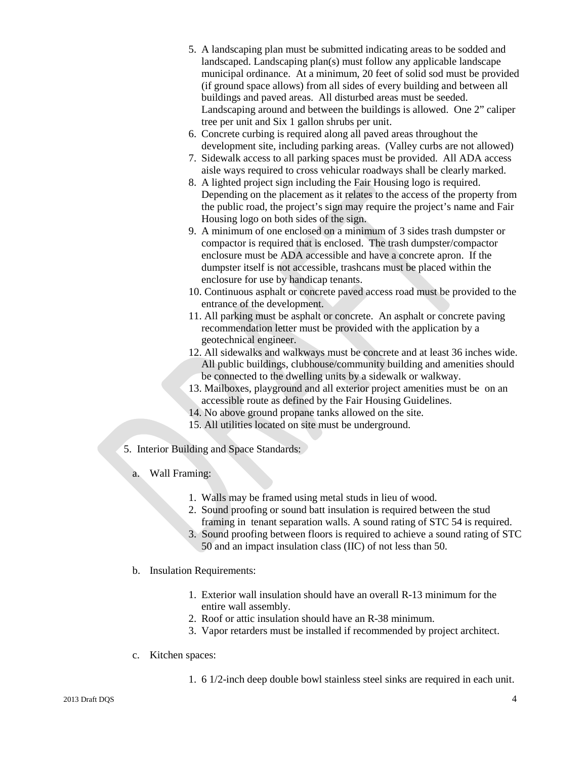- 5. A landscaping plan must be submitted indicating areas to be sodded and landscaped. Landscaping plan(s) must follow any applicable landscape municipal ordinance. At a minimum, 20 feet of solid sod must be provided (if ground space allows) from all sides of every building and between all buildings and paved areas. All disturbed areas must be seeded. Landscaping around and between the buildings is allowed. One 2" caliper tree per unit and Six 1 gallon shrubs per unit.
- 6. Concrete curbing is required along all paved areas throughout the development site, including parking areas. (Valley curbs are not allowed)
- 7. Sidewalk access to all parking spaces must be provided. All ADA access aisle ways required to cross vehicular roadways shall be clearly marked.
- 8. A lighted project sign including the Fair Housing logo is required. Depending on the placement as it relates to the access of the property from the public road, the project's sign may require the project's name and Fair Housing logo on both sides of the sign.
- 9. A minimum of one enclosed on a minimum of 3 sides trash dumpster or compactor is required that is enclosed. The trash dumpster/compactor enclosure must be ADA accessible and have a concrete apron. If the dumpster itself is not accessible, trashcans must be placed within the enclosure for use by handicap tenants.
- 10. Continuous asphalt or concrete paved access road must be provided to the entrance of the development.
- 11. All parking must be asphalt or concrete. An asphalt or concrete paving recommendation letter must be provided with the application by a geotechnical engineer.
- 12. All sidewalks and walkways must be concrete and at least 36 inches wide. All public buildings, clubhouse/community building and amenities should be connected to the dwelling units by a sidewalk or walkway.
- 13. Mailboxes, playground and all exterior project amenities must be on an accessible route as defined by the Fair Housing Guidelines.
- 14. No above ground propane tanks allowed on the site.
- 15. All utilities located on site must be underground.
- 5. Interior Building and Space Standards:
	- a. Wall Framing:
		- 1. Walls may be framed using metal studs in lieu of wood.
		- 2. Sound proofing or sound batt insulation is required between the stud framing in tenant separation walls. A sound rating of STC 54 is required.
		- 3. Sound proofing between floors is required to achieve a sound rating of STC
		- 50 and an impact insulation class (IIC) of not less than 50.
	- b. Insulation Requirements:
		- 1. Exterior wall insulation should have an overall R-13 minimum for the entire wall assembly.
		- 2. Roof or attic insulation should have an R-38 minimum.
		- 3. Vapor retarders must be installed if recommended by project architect.
	- c. Kitchen spaces:
		- 1. 6 1/2-inch deep double bowl stainless steel sinks are required in each unit.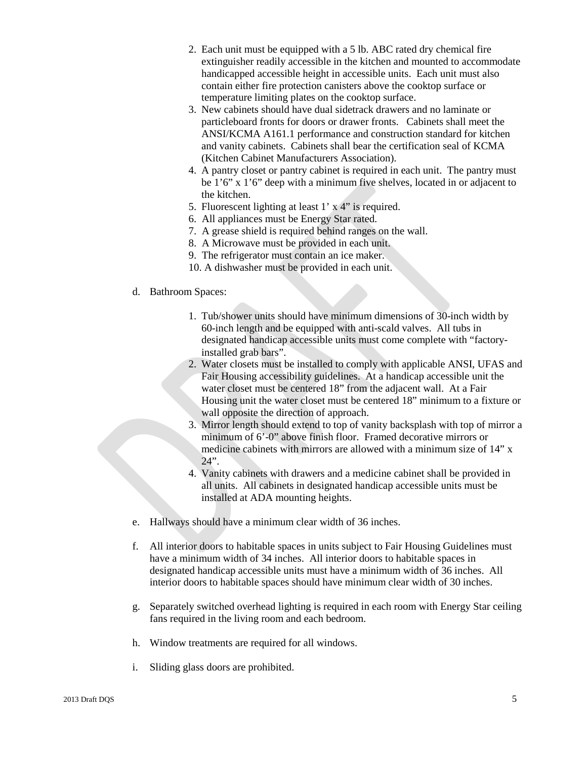- 2. Each unit must be equipped with a 5 lb. ABC rated dry chemical fire extinguisher readily accessible in the kitchen and mounted to accommodate handicapped accessible height in accessible units. Each unit must also contain either fire protection canisters above the cooktop surface or temperature limiting plates on the cooktop surface.
- 3. New cabinets should have dual sidetrack drawers and no laminate or particleboard fronts for doors or drawer fronts. Cabinets shall meet the ANSI/KCMA A161.1 performance and construction standard for kitchen and vanity cabinets. Cabinets shall bear the certification seal of KCMA (Kitchen Cabinet Manufacturers Association).
- 4. A pantry closet or pantry cabinet is required in each unit. The pantry must be 1'6" x 1'6" deep with a minimum five shelves, located in or adjacent to the kitchen.
- 5. Fluorescent lighting at least 1' x 4" is required.
- 6. All appliances must be Energy Star rated.
- 7. A grease shield is required behind ranges on the wall.
- 8. A Microwave must be provided in each unit.
- 9. The refrigerator must contain an ice maker.
- 10. A dishwasher must be provided in each unit.
- d. Bathroom Spaces:
	- 1. Tub/shower units should have minimum dimensions of 30-inch width by 60-inch length and be equipped with anti-scald valves. All tubs in designated handicap accessible units must come complete with "factoryinstalled grab bars".
	- 2. Water closets must be installed to comply with applicable ANSI, UFAS and Fair Housing accessibility guidelines. At a handicap accessible unit the water closet must be centered 18" from the adjacent wall. At a Fair Housing unit the water closet must be centered 18" minimum to a fixture or wall opposite the direction of approach.
	- 3. Mirror length should extend to top of vanity backsplash with top of mirror a minimum of 6'-0" above finish floor. Framed decorative mirrors or medicine cabinets with mirrors are allowed with a minimum size of 14" x 24".
	- 4. Vanity cabinets with drawers and a medicine cabinet shall be provided in all units. All cabinets in designated handicap accessible units must be installed at ADA mounting heights.
- e. Hallways should have a minimum clear width of 36 inches.
- f. All interior doors to habitable spaces in units subject to Fair Housing Guidelines must have a minimum width of 34 inches. All interior doors to habitable spaces in designated handicap accessible units must have a minimum width of 36 inches. All interior doors to habitable spaces should have minimum clear width of 30 inches.
- g. Separately switched overhead lighting is required in each room with Energy Star ceiling fans required in the living room and each bedroom.
- h. Window treatments are required for all windows.
- i. Sliding glass doors are prohibited.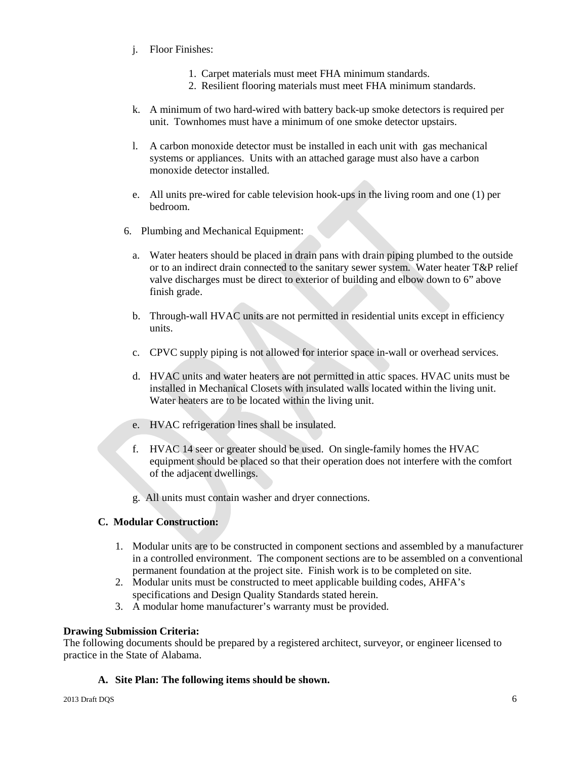- j. Floor Finishes:
	- 1. Carpet materials must meet FHA minimum standards.
	- 2. Resilient flooring materials must meet FHA minimum standards.
- k. A minimum of two hard-wired with battery back-up smoke detectors is required per unit. Townhomes must have a minimum of one smoke detector upstairs.
- l. A carbon monoxide detector must be installed in each unit with gas mechanical systems or appliances. Units with an attached garage must also have a carbon monoxide detector installed.
- e. All units pre-wired for cable television hook-ups in the living room and one (1) per bedroom.
- 6. Plumbing and Mechanical Equipment:
	- a. Water heaters should be placed in drain pans with drain piping plumbed to the outside or to an indirect drain connected to the sanitary sewer system. Water heater T&P relief valve discharges must be direct to exterior of building and elbow down to 6" above finish grade.
	- b. Through-wall HVAC units are not permitted in residential units except in efficiency units.
	- c. CPVC supply piping is not allowed for interior space in-wall or overhead services.
	- d. HVAC units and water heaters are not permitted in attic spaces. HVAC units must be installed in Mechanical Closets with insulated walls located within the living unit. Water heaters are to be located within the living unit.
	- e. HVAC refrigeration lines shall be insulated.
	- f. HVAC 14 seer or greater should be used. On single-family homes the HVAC equipment should be placed so that their operation does not interfere with the comfort of the adjacent dwellings.
	- g. All units must contain washer and dryer connections.

# **C. Modular Construction:**

- 1. Modular units are to be constructed in component sections and assembled by a manufacturer in a controlled environment. The component sections are to be assembled on a conventional permanent foundation at the project site. Finish work is to be completed on site.
- 2. Modular units must be constructed to meet applicable building codes, AHFA's specifications and Design Quality Standards stated herein.
- 3. A modular home manufacturer's warranty must be provided.

# **Drawing Submission Criteria:**

The following documents should be prepared by a registered architect, surveyor, or engineer licensed to practice in the State of Alabama.

# **A. Site Plan: The following items should be shown.**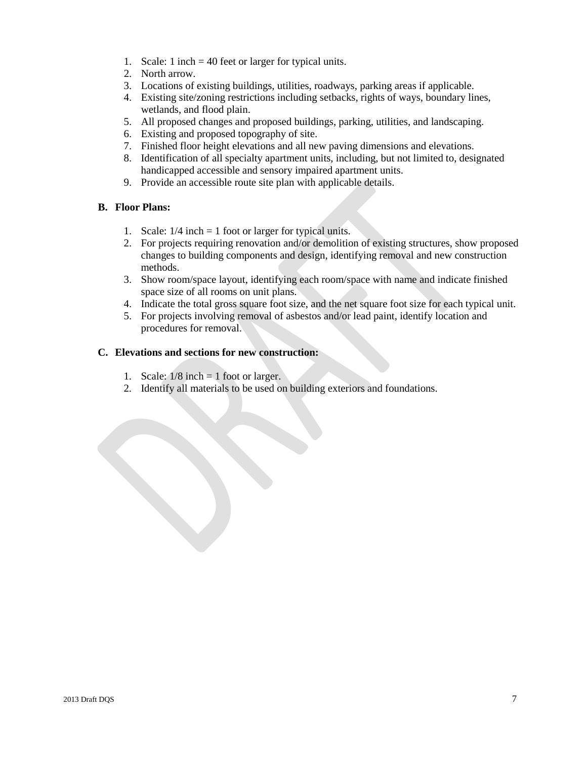- 1. Scale: 1 inch = 40 feet or larger for typical units.
- 2. North arrow.
- 3. Locations of existing buildings, utilities, roadways, parking areas if applicable.
- 4. Existing site/zoning restrictions including setbacks, rights of ways, boundary lines, wetlands, and flood plain.
- 5. All proposed changes and proposed buildings, parking, utilities, and landscaping.
- 6. Existing and proposed topography of site.
- 7. Finished floor height elevations and all new paving dimensions and elevations.
- 8. Identification of all specialty apartment units, including, but not limited to, designated handicapped accessible and sensory impaired apartment units.
- 9. Provide an accessible route site plan with applicable details.

# **B. Floor Plans:**

- 1. Scale: 1/4 inch = 1 foot or larger for typical units.
- 2. For projects requiring renovation and/or demolition of existing structures, show proposed changes to building components and design, identifying removal and new construction methods.
- 3. Show room/space layout, identifying each room/space with name and indicate finished space size of all rooms on unit plans.
- 4. Indicate the total gross square foot size, and the net square foot size for each typical unit.
- 5. For projects involving removal of asbestos and/or lead paint, identify location and procedures for removal.

# **C. Elevations and sections for new construction:**

- 1. Scale:  $1/8$  inch = 1 foot or larger.
- 2. Identify all materials to be used on building exteriors and foundations.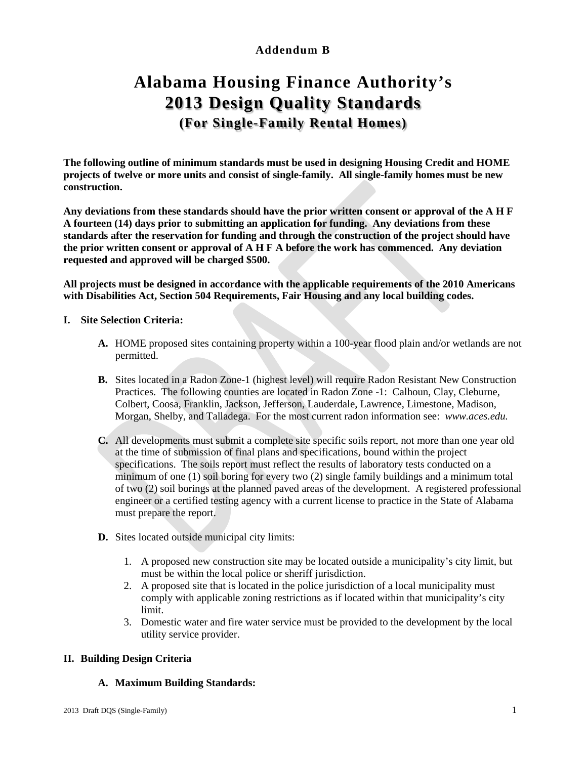# **Addendum B**

# **Alabama Housing Finance Authority's 2013 Design Quality Standards (For Single-Family Rental Homes)**

**The following outline of minimum standards must be used in designing Housing Credit and HOME projects of twelve or more units and consist of single-family. All single-family homes must be new construction.**

**Any deviations from these standards should have the prior written consent or approval of the A H F A fourteen (14) days prior to submitting an application for funding. Any deviations from these standards after the reservation for funding and through the construction of the project should have the prior written consent or approval of A H F A before the work has commenced. Any deviation requested and approved will be charged \$500.** 

**All projects must be designed in accordance with the applicable requirements of the 2010 Americans with Disabilities Act, Section 504 Requirements, Fair Housing and any local building codes.** 

# **I. Site Selection Criteria:**

- **A.** HOME proposed sites containing property within a 100-year flood plain and/or wetlands are not permitted.
- **B.** Sites located in a Radon Zone-1 (highest level) will require Radon Resistant New Construction Practices. The following counties are located in Radon Zone -1: Calhoun, Clay, Cleburne, Colbert, Coosa, Franklin, Jackson, Jefferson, Lauderdale, Lawrence, Limestone, Madison, Morgan, Shelby, and Talladega. For the most current radon information see: *www.aces.edu.*
- **C.** All developments must submit a complete site specific soils report, not more than one year old at the time of submission of final plans and specifications, bound within the project specifications. The soils report must reflect the results of laboratory tests conducted on a minimum of one (1) soil boring for every two (2) single family buildings and a minimum total of two (2) soil borings at the planned paved areas of the development. A registered professional engineer or a certified testing agency with a current license to practice in the State of Alabama must prepare the report.
- **D.** Sites located outside municipal city limits:
	- 1. A proposed new construction site may be located outside a municipality's city limit, but must be within the local police or sheriff jurisdiction.
	- 2. A proposed site that is located in the police jurisdiction of a local municipality must comply with applicable zoning restrictions as if located within that municipality's city limit.
	- 3. Domestic water and fire water service must be provided to the development by the local utility service provider.

# **II. Building Design Criteria**

# **A. Maximum Building Standards:**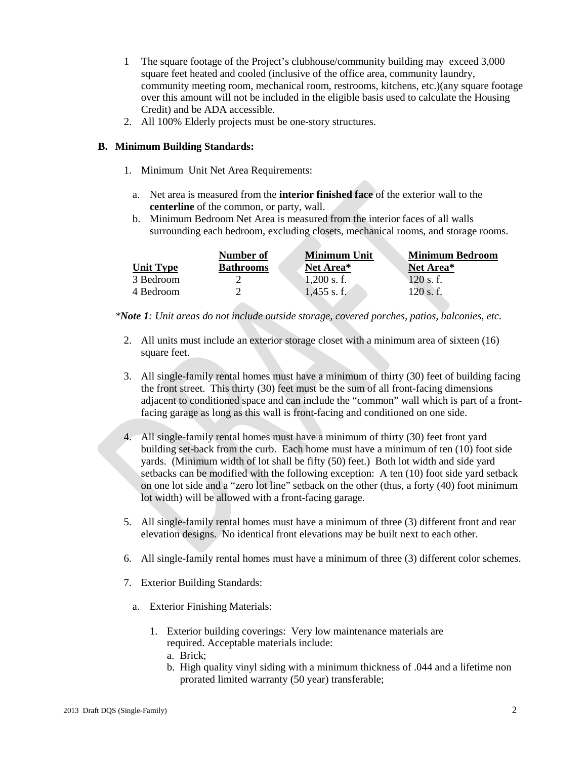- 1 The square footage of the Project's clubhouse/community building may exceed 3,000 square feet heated and cooled (inclusive of the office area, community laundry, community meeting room, mechanical room, restrooms, kitchens, etc.)(any square footage over this amount will not be included in the eligible basis used to calculate the Housing Credit) and be ADA accessible.
- 2. All 100% Elderly projects must be one-story structures.

### **B. Minimum Building Standards:**

- 1. Minimum Unit Net Area Requirements:
	- a. Net area is measured from the **interior finished face** of the exterior wall to the **centerline** of the common, or party, wall.
	- b. Minimum Bedroom Net Area is measured from the interior faces of all walls surrounding each bedroom, excluding closets, mechanical rooms, and storage rooms.

|           | Number of        | <b>Minimum Unit</b> | <b>Minimum Bedroom</b> |
|-----------|------------------|---------------------|------------------------|
| Unit Tvpe | <b>Bathrooms</b> | Net Area*           | Net Area*              |
| 3 Bedroom |                  | $0.200$ s. f.       | 120 s.f.               |
| 4 Bedroom |                  | 1.455 s.f.          | 120 s.f.               |

*\*Note 1: Unit areas do not include outside storage, covered porches, patios, balconies, etc.* 

- 2. All units must include an exterior storage closet with a minimum area of sixteen (16) square feet.
- 3. All single-family rental homes must have a minimum of thirty (30) feet of building facing the front street. This thirty (30) feet must be the sum of all front-facing dimensions adjacent to conditioned space and can include the "common" wall which is part of a frontfacing garage as long as this wall is front-facing and conditioned on one side.
- 4. All single-family rental homes must have a minimum of thirty (30) feet front yard building set-back from the curb. Each home must have a minimum of ten (10) foot side yards. (Minimum width of lot shall be fifty (50) feet.) Both lot width and side yard setbacks can be modified with the following exception: A ten (10) foot side yard setback on one lot side and a "zero lot line" setback on the other (thus, a forty (40) foot minimum lot width) will be allowed with a front-facing garage.
- 5. All single-family rental homes must have a minimum of three (3) different front and rear elevation designs. No identical front elevations may be built next to each other.
- 6. All single-family rental homes must have a minimum of three (3) different color schemes.
- 7. Exterior Building Standards:
	- a. Exterior Finishing Materials:
		- 1. Exterior building coverings: Very low maintenance materials are required. Acceptable materials include:
			- a. Brick;
			- b. High quality vinyl siding with a minimum thickness of .044 and a lifetime non prorated limited warranty (50 year) transferable;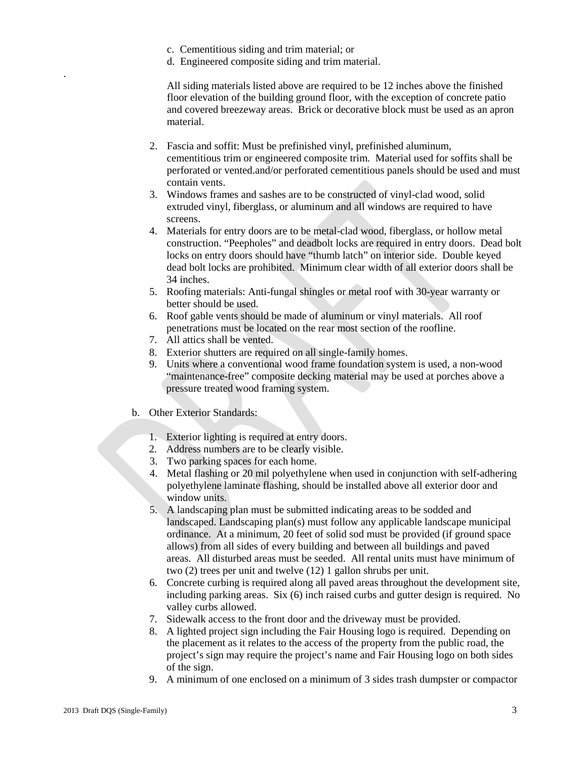- c. Cementitious siding and trim material; or
- d. Engineered composite siding and trim material.

 All siding materials listed above are required to be 12 inches above the finished floor elevation of the building ground floor, with the exception of concrete patio and covered breezeway areas. Brick or decorative block must be used as an apron material.

- 2. Fascia and soffit: Must be prefinished vinyl, prefinished aluminum, cementitious trim or engineered composite trim. Material used for soffits shall be perforated or vented.and/or perforated cementitious panels should be used and must contain vents.
- 3. Windows frames and sashes are to be constructed of vinyl-clad wood, solid extruded vinyl, fiberglass, or aluminum and all windows are required to have screens.
- 4. Materials for entry doors are to be metal-clad wood, fiberglass, or hollow metal construction. "Peepholes" and deadbolt locks are required in entry doors. Dead bolt locks on entry doors should have "thumb latch" on interior side. Double keyed dead bolt locks are prohibited. Minimum clear width of all exterior doors shall be 34 inches.
- 5. Roofing materials: Anti-fungal shingles or metal roof with 30-year warranty or better should be used.
- 6. Roof gable vents should be made of aluminum or vinyl materials. All roof penetrations must be located on the rear most section of the roofline.
- 7. All attics shall be vented.
- 8. Exterior shutters are required on all single-family homes.
- 9. Units where a conventional wood frame foundation system is used, a non-wood "maintenance-free" composite decking material may be used at porches above a pressure treated wood framing system.
- b. Other Exterior Standards:
	- 1. Exterior lighting is required at entry doors.
	- 2. Address numbers are to be clearly visible.
	- 3. Two parking spaces for each home.
	- 4. Metal flashing or 20 mil polyethylene when used in conjunction with self-adhering polyethylene laminate flashing, should be installed above all exterior door and window units.
	- 5. A landscaping plan must be submitted indicating areas to be sodded and landscaped. Landscaping plan(s) must follow any applicable landscape municipal ordinance. At a minimum, 20 feet of solid sod must be provided (if ground space allows) from all sides of every building and between all buildings and paved areas. All disturbed areas must be seeded. All rental units must have minimum of two (2) trees per unit and twelve (12) 1 gallon shrubs per unit.
	- 6. Concrete curbing is required along all paved areas throughout the development site, including parking areas. Six (6) inch raised curbs and gutter design is required. No valley curbs allowed.
	- 7. Sidewalk access to the front door and the driveway must be provided.
	- 8. A lighted project sign including the Fair Housing logo is required. Depending on the placement as it relates to the access of the property from the public road, the project's sign may require the project's name and Fair Housing logo on both sides of the sign.
	- 9. A minimum of one enclosed on a minimum of 3 sides trash dumpster or compactor

.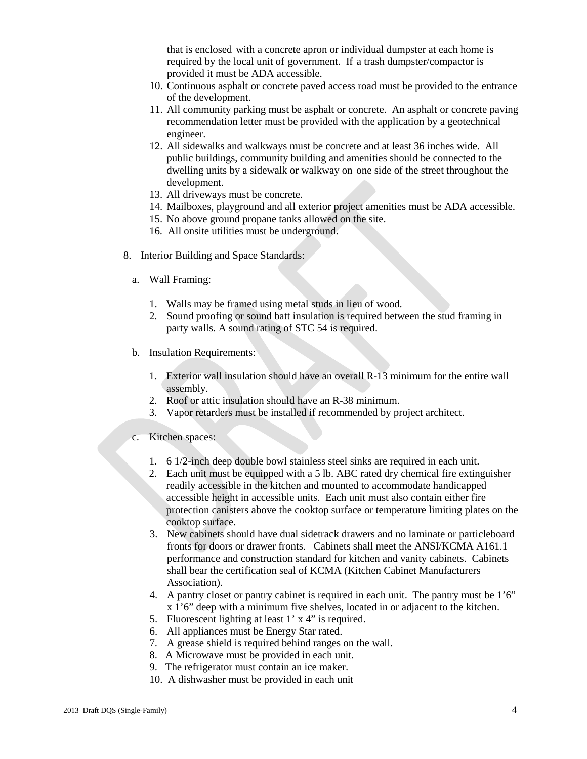that is enclosed with a concrete apron or individual dumpster at each home is required by the local unit of government. If a trash dumpster/compactor is provided it must be ADA accessible.

- 10. Continuous asphalt or concrete paved access road must be provided to the entrance of the development.
- 11. All community parking must be asphalt or concrete. An asphalt or concrete paving recommendation letter must be provided with the application by a geotechnical engineer.
- 12. All sidewalks and walkways must be concrete and at least 36 inches wide. All public buildings, community building and amenities should be connected to the dwelling units by a sidewalk or walkway on one side of the street throughout the development.
- 13. All driveways must be concrete.
- 14. Mailboxes, playground and all exterior project amenities must be ADA accessible.
- 15. No above ground propane tanks allowed on the site.
- 16. All onsite utilities must be underground.
- 8. Interior Building and Space Standards:
	- a. Wall Framing:
		- 1. Walls may be framed using metal studs in lieu of wood.
		- 2. Sound proofing or sound batt insulation is required between the stud framing in party walls. A sound rating of STC 54 is required.
	- b. Insulation Requirements:
		- 1. Exterior wall insulation should have an overall R-13 minimum for the entire wall assembly.
		- 2. Roof or attic insulation should have an R-38 minimum.
		- 3. Vapor retarders must be installed if recommended by project architect.
	- c. Kitchen spaces:
		- 1. 6 1/2-inch deep double bowl stainless steel sinks are required in each unit.
		- 2. Each unit must be equipped with a 5 lb. ABC rated dry chemical fire extinguisher readily accessible in the kitchen and mounted to accommodate handicapped accessible height in accessible units. Each unit must also contain either fire protection canisters above the cooktop surface or temperature limiting plates on the cooktop surface.
		- 3. New cabinets should have dual sidetrack drawers and no laminate or particleboard fronts for doors or drawer fronts. Cabinets shall meet the ANSI/KCMA A161.1 performance and construction standard for kitchen and vanity cabinets. Cabinets shall bear the certification seal of KCMA (Kitchen Cabinet Manufacturers Association).
		- 4. A pantry closet or pantry cabinet is required in each unit. The pantry must be 1'6" x 1'6" deep with a minimum five shelves, located in or adjacent to the kitchen.
		- 5. Fluorescent lighting at least 1' x 4" is required.
		- 6. All appliances must be Energy Star rated.
		- 7. A grease shield is required behind ranges on the wall.
		- 8. A Microwave must be provided in each unit.
		- 9. The refrigerator must contain an ice maker.
		- 10. A dishwasher must be provided in each unit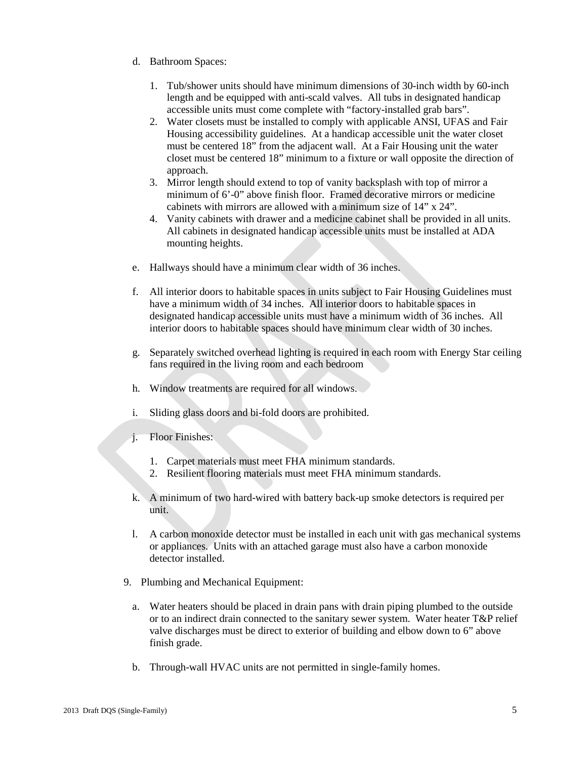- d. Bathroom Spaces:
	- 1. Tub/shower units should have minimum dimensions of 30-inch width by 60-inch length and be equipped with anti-scald valves. All tubs in designated handicap accessible units must come complete with "factory-installed grab bars".
	- 2. Water closets must be installed to comply with applicable ANSI, UFAS and Fair Housing accessibility guidelines. At a handicap accessible unit the water closet must be centered 18" from the adjacent wall. At a Fair Housing unit the water closet must be centered 18" minimum to a fixture or wall opposite the direction of approach.
	- 3. Mirror length should extend to top of vanity backsplash with top of mirror a minimum of 6'-0" above finish floor. Framed decorative mirrors or medicine cabinets with mirrors are allowed with a minimum size of 14" x 24".
	- 4. Vanity cabinets with drawer and a medicine cabinet shall be provided in all units. All cabinets in designated handicap accessible units must be installed at ADA mounting heights.
- e. Hallways should have a minimum clear width of 36 inches.
- f. All interior doors to habitable spaces in units subject to Fair Housing Guidelines must have a minimum width of 34 inches. All interior doors to habitable spaces in designated handicap accessible units must have a minimum width of 36 inches. All interior doors to habitable spaces should have minimum clear width of 30 inches.
- g. Separately switched overhead lighting is required in each room with Energy Star ceiling fans required in the living room and each bedroom
- h. Window treatments are required for all windows.
- i. Sliding glass doors and bi-fold doors are prohibited.
- j. Floor Finishes:
	- 1. Carpet materials must meet FHA minimum standards.
	- 2. Resilient flooring materials must meet FHA minimum standards.
- k. A minimum of two hard-wired with battery back-up smoke detectors is required per unit.
- l. A carbon monoxide detector must be installed in each unit with gas mechanical systems or appliances. Units with an attached garage must also have a carbon monoxide detector installed.
- 9. Plumbing and Mechanical Equipment:
	- a. Water heaters should be placed in drain pans with drain piping plumbed to the outside or to an indirect drain connected to the sanitary sewer system. Water heater T&P relief valve discharges must be direct to exterior of building and elbow down to 6" above finish grade.
	- b. Through-wall HVAC units are not permitted in single-family homes.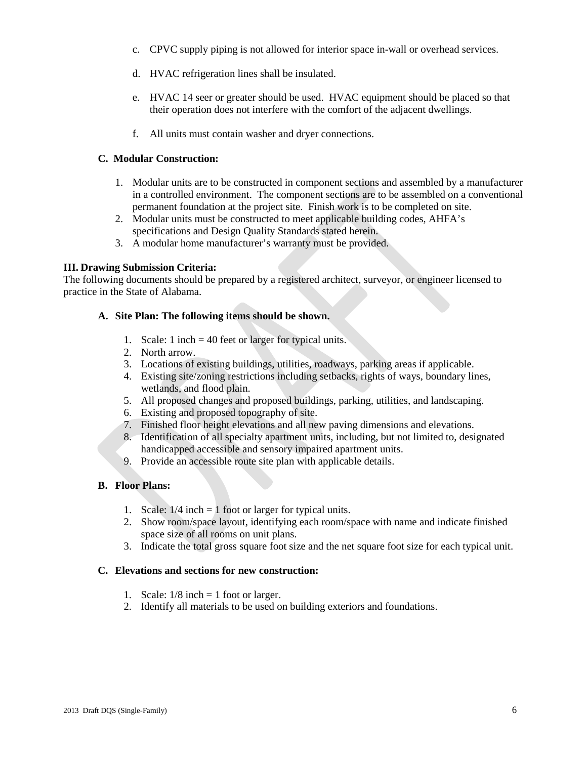- c. CPVC supply piping is not allowed for interior space in-wall or overhead services.
- d. HVAC refrigeration lines shall be insulated.
- e. HVAC 14 seer or greater should be used. HVAC equipment should be placed so that their operation does not interfere with the comfort of the adjacent dwellings.
- f. All units must contain washer and dryer connections.

# **C. Modular Construction:**

- 1. Modular units are to be constructed in component sections and assembled by a manufacturer in a controlled environment. The component sections are to be assembled on a conventional permanent foundation at the project site. Finish work is to be completed on site.
- 2. Modular units must be constructed to meet applicable building codes, AHFA's specifications and Design Quality Standards stated herein.
- 3. A modular home manufacturer's warranty must be provided.

# **III. Drawing Submission Criteria:**

The following documents should be prepared by a registered architect, surveyor, or engineer licensed to practice in the State of Alabama.

# **A. Site Plan: The following items should be shown.**

- 1. Scale: 1 inch = 40 feet or larger for typical units.
- 2. North arrow.
- 3. Locations of existing buildings, utilities, roadways, parking areas if applicable.
- 4. Existing site/zoning restrictions including setbacks, rights of ways, boundary lines, wetlands, and flood plain.
- 5. All proposed changes and proposed buildings, parking, utilities, and landscaping.
- 6. Existing and proposed topography of site.
- 7. Finished floor height elevations and all new paving dimensions and elevations.
- 8. Identification of all specialty apartment units, including, but not limited to, designated handicapped accessible and sensory impaired apartment units.
- 9. Provide an accessible route site plan with applicable details.

# **B. Floor Plans:**

- 1. Scale: 1/4 inch = 1 foot or larger for typical units.
- 2. Show room/space layout, identifying each room/space with name and indicate finished space size of all rooms on unit plans.
- 3. Indicate the total gross square foot size and the net square foot size for each typical unit.

# **C. Elevations and sections for new construction:**

- 1. Scale:  $1/8$  inch = 1 foot or larger.
- 2. Identify all materials to be used on building exteriors and foundations.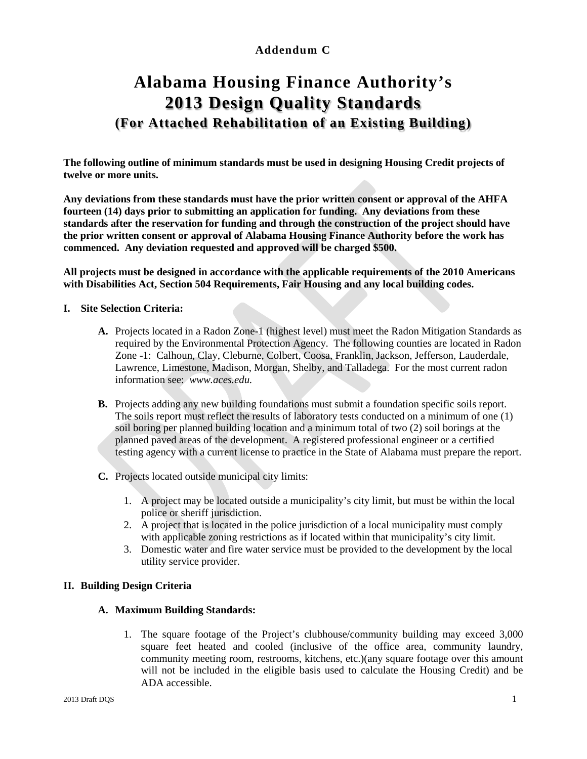# **Addendum C**

# **Alabama Housing Finance Authority's 2013 Design Quality Standards (For Attached Rehabilitation of an Existing Building)**

**The following outline of minimum standards must be used in designing Housing Credit projects of twelve or more units.**

**Any deviations from these standards must have the prior written consent or approval of the AHFA fourteen (14) days prior to submitting an application for funding. Any deviations from these standards after the reservation for funding and through the construction of the project should have the prior written consent or approval of Alabama Housing Finance Authority before the work has commenced. Any deviation requested and approved will be charged \$500.**

**All projects must be designed in accordance with the applicable requirements of the 2010 Americans with Disabilities Act, Section 504 Requirements, Fair Housing and any local building codes.** 

# **I. Site Selection Criteria:**

- **A.** Projects located in a Radon Zone-1 (highest level) must meet the Radon Mitigation Standards as required by the Environmental Protection Agency. The following counties are located in Radon Zone -1: Calhoun, Clay, Cleburne, Colbert, Coosa, Franklin, Jackson, Jefferson, Lauderdale, Lawrence, Limestone, Madison, Morgan, Shelby, and Talladega. For the most current radon information see: *www.aces.edu.*
- **B.** Projects adding any new building foundations must submit a foundation specific soils report. The soils report must reflect the results of laboratory tests conducted on a minimum of one (1) soil boring per planned building location and a minimum total of two (2) soil borings at the planned paved areas of the development. A registered professional engineer or a certified testing agency with a current license to practice in the State of Alabama must prepare the report.
- **C.** Projects located outside municipal city limits:
	- 1. A project may be located outside a municipality's city limit, but must be within the local police or sheriff jurisdiction.
	- 2. A project that is located in the police jurisdiction of a local municipality must comply with applicable zoning restrictions as if located within that municipality's city limit.
	- 3. Domestic water and fire water service must be provided to the development by the local utility service provider.

#### **II. Building Design Criteria**

#### **A. Maximum Building Standards:**

1. The square footage of the Project's clubhouse/community building may exceed 3,000 square feet heated and cooled (inclusive of the office area, community laundry, community meeting room, restrooms, kitchens, etc.)(any square footage over this amount will not be included in the eligible basis used to calculate the Housing Credit) and be ADA accessible.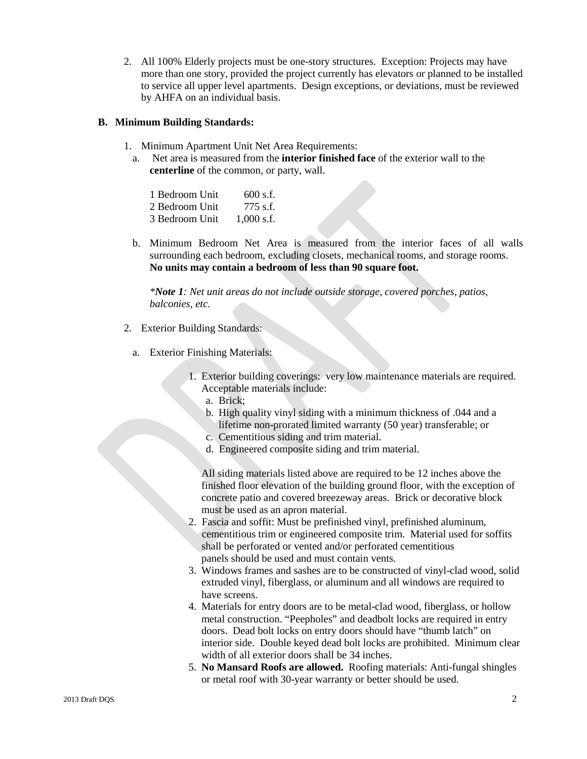2. All 100% Elderly projects must be one-story structures. Exception: Projects may have more than one story, provided the project currently has elevators or planned to be installed to service all upper level apartments. Design exceptions, or deviations, must be reviewed by AHFA on an individual basis.

#### **B. Minimum Building Standards:**

- 1. Minimum Apartment Unit Net Area Requirements:
	- a. Net area is measured from the **interior finished face** of the exterior wall to the **centerline** of the common, or party, wall.

| 1 Bedroom Unit | $600$ s.f.   |
|----------------|--------------|
| 2 Bedroom Unit | $775$ s.f.   |
| 3 Bedroom Unit | $1,000$ s.f. |

b. Minimum Bedroom Net Area is measured from the interior faces of all walls surrounding each bedroom, excluding closets, mechanical rooms, and storage rooms. **No units may contain a bedroom of less than 90 square foot.**

*\*Note 1: Net unit areas do not include outside storage, covered porches, patios, balconies, etc.* 

- 2. Exterior Building Standards:
	- a. Exterior Finishing Materials:
		- 1. Exterior building coverings: very low maintenance materials are required. Acceptable materials include:
			- a. Brick;
			- b. High quality vinyl siding with a minimum thickness of .044 and a lifetime non-prorated limited warranty (50 year) transferable; or
			- c. Cementitious siding and trim material.
			- d. Engineered composite siding and trim material.

All siding materials listed above are required to be 12 inches above the finished floor elevation of the building ground floor, with the exception of concrete patio and covered breezeway areas. Brick or decorative block must be used as an apron material.

- 2. Fascia and soffit: Must be prefinished vinyl, prefinished aluminum, cementitious trim or engineered composite trim. Material used for soffits shall be perforated or vented and/or perforated cementitious panels should be used and must contain vents.
- 3. Windows frames and sashes are to be constructed of vinyl-clad wood, solid extruded vinyl, fiberglass, or aluminum and all windows are required to have screens.
- 4. Materials for entry doors are to be metal-clad wood, fiberglass, or hollow metal construction. "Peepholes" and deadbolt locks are required in entry doors. Dead bolt locks on entry doors should have "thumb latch" on interior side. Double keyed dead bolt locks are prohibited. Minimum clear width of all exterior doors shall be 34 inches.
- 5. **No Mansard Roofs are allowed.** Roofing materials: Anti-fungal shingles or metal roof with 30-year warranty or better should be used.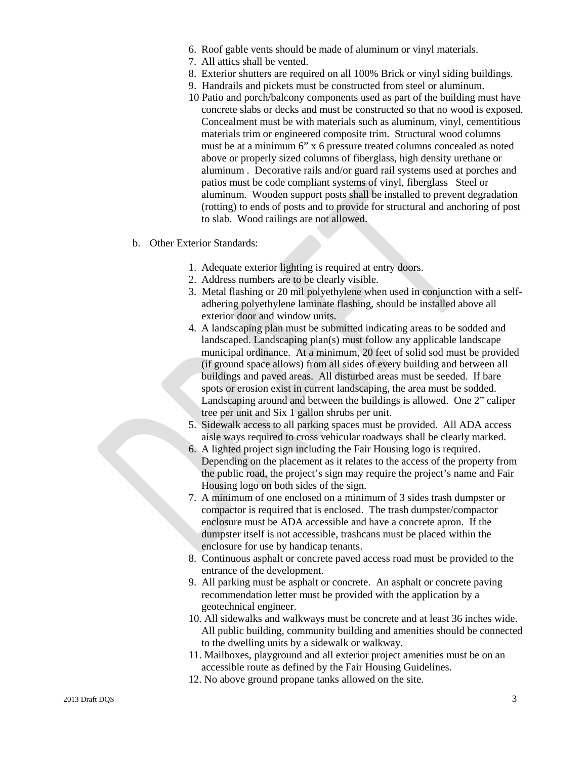- 6. Roof gable vents should be made of aluminum or vinyl materials.
- 7. All attics shall be vented.
- 8. Exterior shutters are required on all 100% Brick or vinyl siding buildings.
- 9. Handrails and pickets must be constructed from steel or aluminum.
- 10 Patio and porch/balcony components used as part of the building must have concrete slabs or decks and must be constructed so that no wood is exposed. Concealment must be with materials such as aluminum, vinyl, cementitious materials trim or engineered composite trim. Structural wood columns must be at a minimum 6" x 6 pressure treated columns concealed as noted above or properly sized columns of fiberglass, high density urethane or aluminum . Decorative rails and/or guard rail systems used at porches and patios must be code compliant systems of vinyl, fiberglass Steel or aluminum. Wooden support posts shall be installed to prevent degradation (rotting) to ends of posts and to provide for structural and anchoring of post to slab. Wood railings are not allowed.
- b. Other Exterior Standards:
	- 1. Adequate exterior lighting is required at entry doors.
	- 2. Address numbers are to be clearly visible.
	- 3. Metal flashing or 20 mil polyethylene when used in conjunction with a selfadhering polyethylene laminate flashing, should be installed above all exterior door and window units.
	- 4. A landscaping plan must be submitted indicating areas to be sodded and landscaped. Landscaping plan(s) must follow any applicable landscape municipal ordinance. At a minimum, 20 feet of solid sod must be provided (if ground space allows) from all sides of every building and between all buildings and paved areas. All disturbed areas must be seeded. If bare spots or erosion exist in current landscaping, the area must be sodded. Landscaping around and between the buildings is allowed. One 2" caliper tree per unit and Six 1 gallon shrubs per unit.
	- 5. Sidewalk access to all parking spaces must be provided. All ADA access aisle ways required to cross vehicular roadways shall be clearly marked.
	- 6. A lighted project sign including the Fair Housing logo is required. Depending on the placement as it relates to the access of the property from the public road, the project's sign may require the project's name and Fair Housing logo on both sides of the sign.
	- 7. A minimum of one enclosed on a minimum of 3 sides trash dumpster or compactor is required that is enclosed. The trash dumpster/compactor enclosure must be ADA accessible and have a concrete apron. If the dumpster itself is not accessible, trashcans must be placed within the enclosure for use by handicap tenants.
	- 8. Continuous asphalt or concrete paved access road must be provided to the entrance of the development.
	- 9. All parking must be asphalt or concrete. An asphalt or concrete paving recommendation letter must be provided with the application by a geotechnical engineer.
	- 10. All sidewalks and walkways must be concrete and at least 36 inches wide. All public building, community building and amenities should be connected to the dwelling units by a sidewalk or walkway.
	- 11. Mailboxes, playground and all exterior project amenities must be on an accessible route as defined by the Fair Housing Guidelines.
	- 12. No above ground propane tanks allowed on the site.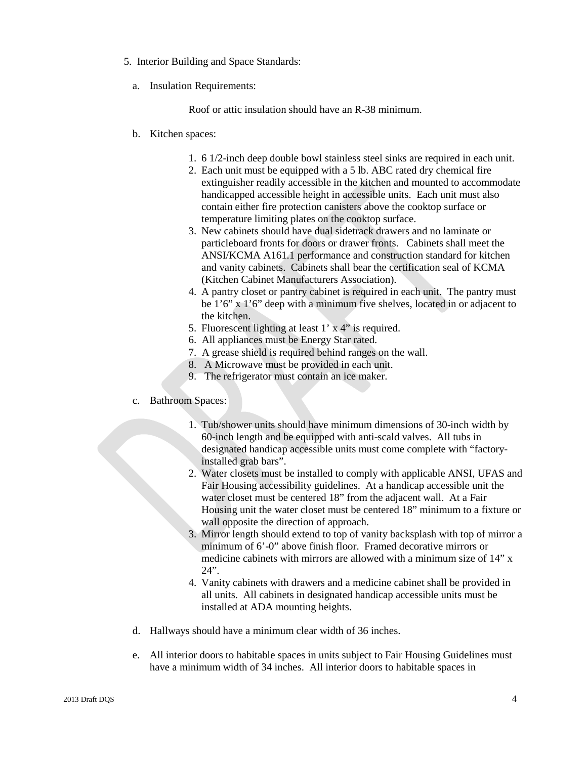- 5. Interior Building and Space Standards:
	- a. Insulation Requirements:

Roof or attic insulation should have an R-38 minimum.

- b. Kitchen spaces:
	- 1. 6 1/2-inch deep double bowl stainless steel sinks are required in each unit.
	- 2. Each unit must be equipped with a 5 lb. ABC rated dry chemical fire extinguisher readily accessible in the kitchen and mounted to accommodate handicapped accessible height in accessible units. Each unit must also contain either fire protection canisters above the cooktop surface or temperature limiting plates on the cooktop surface.
	- 3. New cabinets should have dual sidetrack drawers and no laminate or particleboard fronts for doors or drawer fronts. Cabinets shall meet the ANSI/KCMA A161.1 performance and construction standard for kitchen and vanity cabinets. Cabinets shall bear the certification seal of KCMA (Kitchen Cabinet Manufacturers Association).
	- 4. A pantry closet or pantry cabinet is required in each unit. The pantry must be 1'6" x 1'6" deep with a minimum five shelves, located in or adjacent to the kitchen.
	- 5. Fluorescent lighting at least 1' x 4" is required.
	- 6. All appliances must be Energy Star rated.
	- 7. A grease shield is required behind ranges on the wall.
	- 8. A Microwave must be provided in each unit.
	- 9. The refrigerator must contain an ice maker.
- c. Bathroom Spaces:
	- 1. Tub/shower units should have minimum dimensions of 30-inch width by 60-inch length and be equipped with anti-scald valves. All tubs in designated handicap accessible units must come complete with "factoryinstalled grab bars".
	- 2. Water closets must be installed to comply with applicable ANSI, UFAS and Fair Housing accessibility guidelines. At a handicap accessible unit the water closet must be centered 18" from the adjacent wall. At a Fair Housing unit the water closet must be centered 18" minimum to a fixture or wall opposite the direction of approach.
	- 3. Mirror length should extend to top of vanity backsplash with top of mirror a minimum of 6'-0" above finish floor. Framed decorative mirrors or medicine cabinets with mirrors are allowed with a minimum size of 14" x  $24$ ".
	- 4. Vanity cabinets with drawers and a medicine cabinet shall be provided in all units. All cabinets in designated handicap accessible units must be installed at ADA mounting heights.
- d. Hallways should have a minimum clear width of 36 inches.
- e. All interior doors to habitable spaces in units subject to Fair Housing Guidelines must have a minimum width of 34 inches. All interior doors to habitable spaces in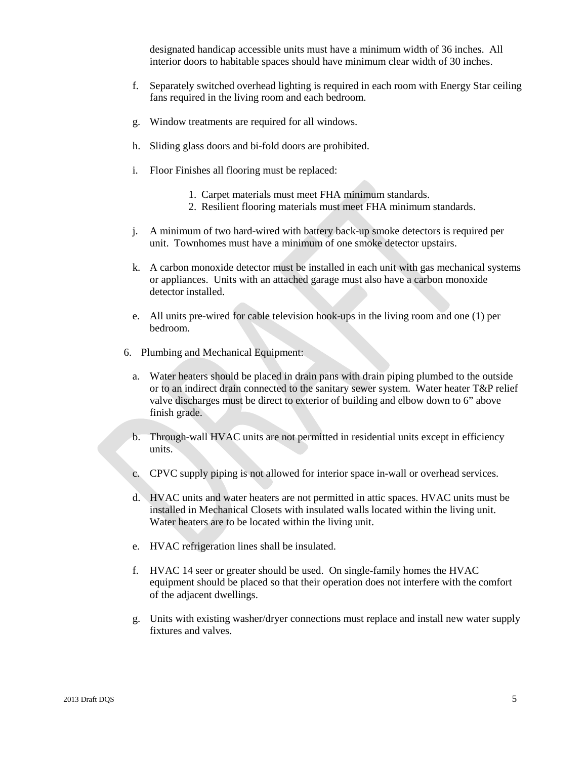designated handicap accessible units must have a minimum width of 36 inches. All interior doors to habitable spaces should have minimum clear width of 30 inches.

- f. Separately switched overhead lighting is required in each room with Energy Star ceiling fans required in the living room and each bedroom.
- g. Window treatments are required for all windows.
- h. Sliding glass doors and bi-fold doors are prohibited.
- i. Floor Finishes all flooring must be replaced:
	- 1. Carpet materials must meet FHA minimum standards.
	- 2. Resilient flooring materials must meet FHA minimum standards.
- j. A minimum of two hard-wired with battery back-up smoke detectors is required per unit. Townhomes must have a minimum of one smoke detector upstairs.
- k. A carbon monoxide detector must be installed in each unit with gas mechanical systems or appliances. Units with an attached garage must also have a carbon monoxide detector installed.
- e. All units pre-wired for cable television hook-ups in the living room and one (1) per bedroom.
- 6. Plumbing and Mechanical Equipment:
	- a. Water heaters should be placed in drain pans with drain piping plumbed to the outside or to an indirect drain connected to the sanitary sewer system. Water heater T&P relief valve discharges must be direct to exterior of building and elbow down to 6" above finish grade.
	- b. Through-wall HVAC units are not permitted in residential units except in efficiency units.
	- c. CPVC supply piping is not allowed for interior space in-wall or overhead services.
	- d. HVAC units and water heaters are not permitted in attic spaces. HVAC units must be installed in Mechanical Closets with insulated walls located within the living unit. Water heaters are to be located within the living unit.
	- e. HVAC refrigeration lines shall be insulated.
	- f. HVAC 14 seer or greater should be used. On single-family homes the HVAC equipment should be placed so that their operation does not interfere with the comfort of the adjacent dwellings.
	- g. Units with existing washer/dryer connections must replace and install new water supply fixtures and valves.